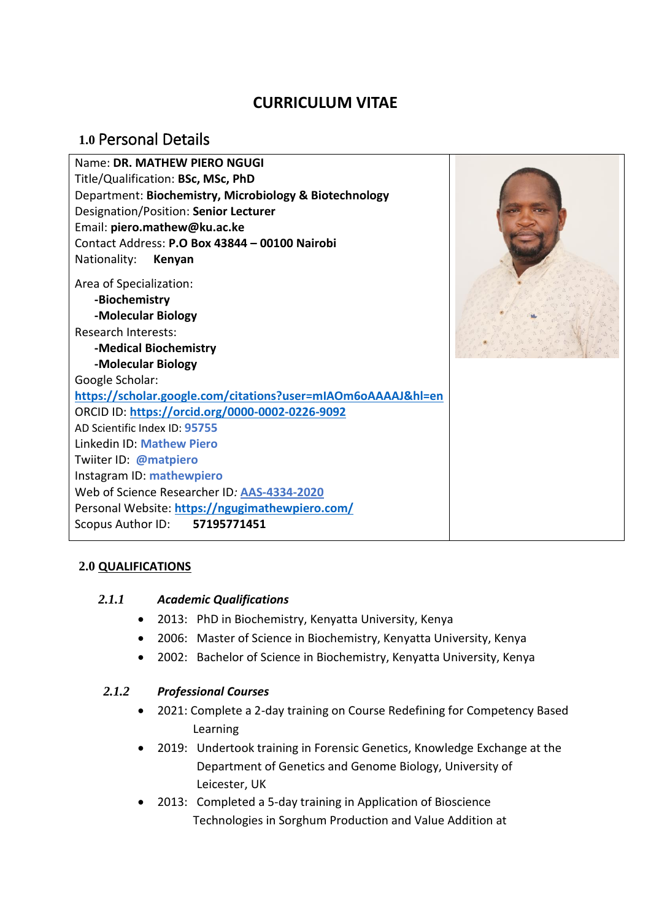# **CURRICULUM VITAE**

# **1.0** Personal Details

| Name: DR. MATHEW PIERO NGUGI<br>Title/Qualification: BSc, MSc, PhD<br>Department: Biochemistry, Microbiology & Biotechnology<br>Designation/Position: Senior Lecturer<br>Email: piero.mathew@ku.ac.ke<br>Contact Address: P.O Box 43844 - 00100 Nairobi<br>Nationality:<br>Kenyan |  |
|-----------------------------------------------------------------------------------------------------------------------------------------------------------------------------------------------------------------------------------------------------------------------------------|--|
| Area of Specialization:<br>-Biochemistry<br>-Molecular Biology                                                                                                                                                                                                                    |  |
| Research Interests:<br>-Medical Biochemistry<br>-Molecular Biology                                                                                                                                                                                                                |  |
| Google Scholar:<br>https://scholar.google.com/citations?user=mIAOm6oAAAAJ&hl=en<br>ORCID ID: https://orcid.org/0000-0002-0226-9092                                                                                                                                                |  |
| AD Scientific Index ID: 95755<br>Linkedin ID: Mathew Piero<br>Twiiter ID: @matpiero                                                                                                                                                                                               |  |
| Instagram ID: mathewpiero<br>Web of Science Researcher ID: AAS-4334-2020<br>Personal Website: https://ngugimathewpiero.com/<br>Scopus Author ID:<br>57195771451                                                                                                                   |  |

### **2.0 QUALIFICATIONS**

### *2.1.1 Academic Qualifications*

- 2013: PhD in Biochemistry, Kenyatta University, Kenya
- 2006: Master of Science in Biochemistry, Kenyatta University, Kenya
- 2002: Bachelor of Science in Biochemistry, Kenyatta University, Kenya

### *2.1.2 Professional Courses*

- 2021: Complete a 2-day training on Course Redefining for Competency Based Learning
- 2019: Undertook training in Forensic Genetics, Knowledge Exchange at the Department of Genetics and Genome Biology, University of Leicester, UK
- 2013: Completed a 5-day training in Application of Bioscience Technologies in Sorghum Production and Value Addition at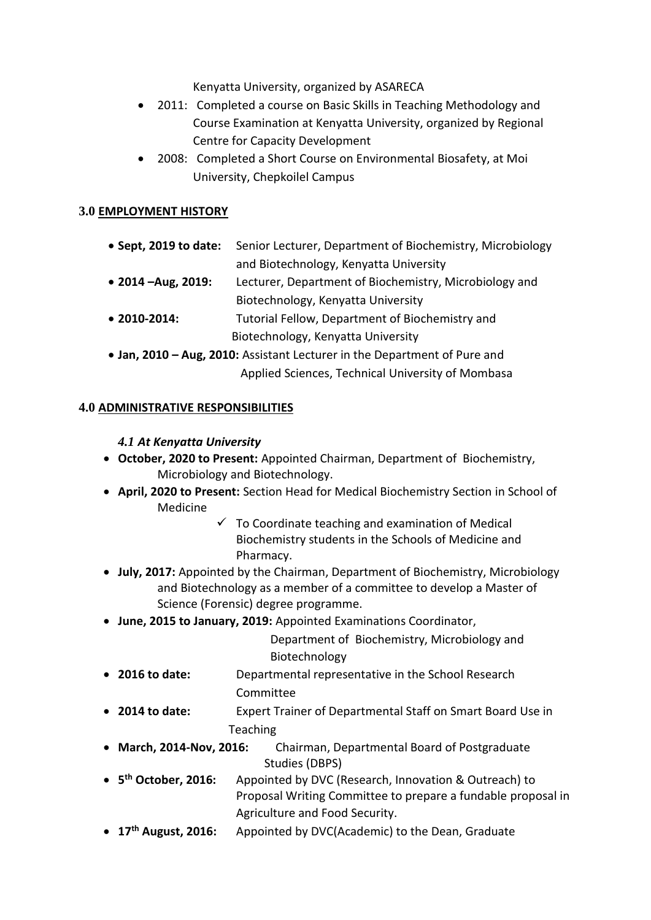Kenyatta University, organized by ASARECA

- 2011: Completed a course on Basic Skills in Teaching Methodology and Course Examination at Kenyatta University, organized by Regional Centre for Capacity Development
- 2008: Completed a Short Course on Environmental Biosafety, at Moi University, Chepkoilel Campus

#### **3.0 EMPLOYMENT HISTORY**

| $\bullet$ Sept, 2019 to date: | Senior Lecturer, Department of Biochemistry, Microbiology                         |
|-------------------------------|-----------------------------------------------------------------------------------|
|                               | and Biotechnology, Kenyatta University                                            |
| $\bullet$ 2014 $-Aug$ , 2019: | Lecturer, Department of Biochemistry, Microbiology and                            |
|                               | Biotechnology, Kenyatta University                                                |
| $\bullet$ 2010-2014:          | Tutorial Fellow, Department of Biochemistry and                                   |
|                               | Biotechnology, Kenyatta University                                                |
|                               | $\bullet$ Jan. 2010 – Aug. 2010: Assistant Lecturer in the Department of Pure and |

• **Jan, 2010 – Aug, 2010:** Assistant Lecturer in the Department of Pure and Applied Sciences, Technical University of Mombasa

#### **4.0 ADMINISTRATIVE RESPONSIBILITIES**

#### *4.1 At Kenyatta University*

- **October, 2020 to Present:** Appointed Chairman, Department of Biochemistry, Microbiology and Biotechnology.
- **April, 2020 to Present:** Section Head for Medical Biochemistry Section in School of Medicine
	- $\checkmark$  To Coordinate teaching and examination of Medical Biochemistry students in the Schools of Medicine and Pharmacy.
- **July, 2017:** Appointed by the Chairman, Department of Biochemistry, Microbiology and Biotechnology as a member of a committee to develop a Master of Science (Forensic) degree programme.
- **June, 2015 to January, 2019:** Appointed Examinations Coordinator,

Department of Biochemistry, Microbiology and Biotechnology

- **2016 to date:** Departmental representative in the School Research Committee
- **2014 to date:** Expert Trainer of Departmental Staff on Smart Board Use in Teaching
- **March, 2014-Nov, 2016:** Chairman, Departmental Board of Postgraduate Studies (DBPS)
- 5<sup>th</sup> October. 2016: **th October, 2016:** Appointed by DVC (Research, Innovation & Outreach) to Proposal Writing Committee to prepare a fundable proposal in Agriculture and Food Security.
- **17th August, 2016:** Appointed by DVC(Academic) to the Dean, Graduate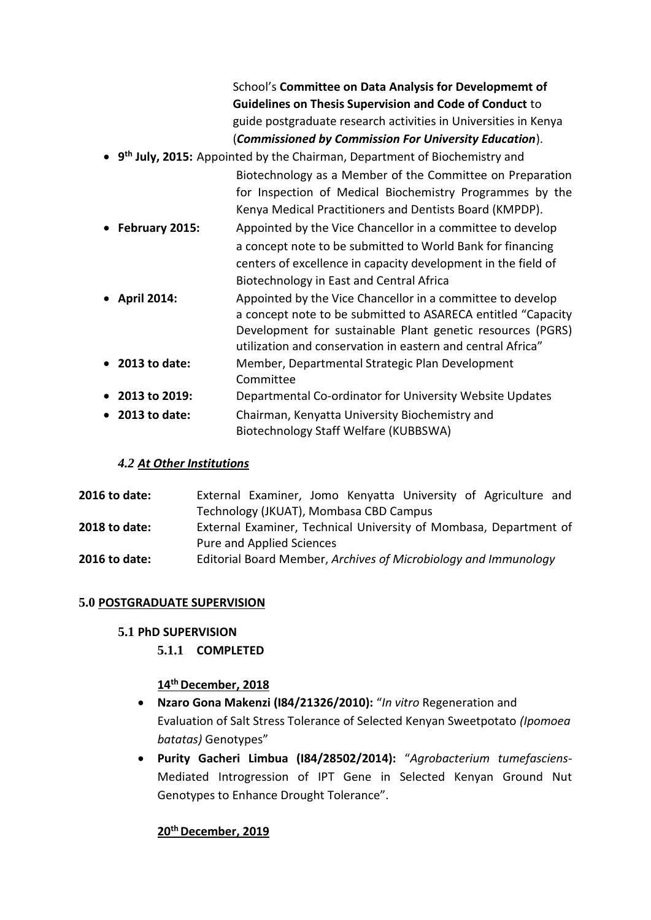School's **Committee on Data Analysis for Developmemt of Guidelines on Thesis Supervision and Code of Conduct** to guide postgraduate research activities in Universities in Kenya (*Commissioned by Commission For University Education*).

• **9 th July, 2015:** Appointed by the Chairman, Department of Biochemistry and

Biotechnology as a Member of the Committee on Preparation for Inspection of Medical Biochemistry Programmes by the Kenya Medical Practitioners and Dentists Board (KMPDP).

- **February 2015:** Appointed by the Vice Chancellor in a committee to develop a concept note to be submitted to World Bank for financing centers of excellence in capacity development in the field of Biotechnology in East and Central Africa
- **April 2014:** Appointed by the Vice Chancellor in a committee to develop a concept note to be submitted to ASARECA entitled "Capacity Development for sustainable Plant genetic resources (PGRS) utilization and conservation in eastern and central Africa"
- **2013 to date:** Member, Departmental Strategic Plan Development Committee
- **2013 to 2019:** Departmental Co-ordinator for University Website Updates
- **2013 to date:** Chairman, Kenyatta University Biochemistry and Biotechnology Staff Welfare (KUBBSWA)

### *4.2 At Other Institutions*

| 2016 to date: | External Examiner, Jomo Kenyatta University of Agriculture and    |
|---------------|-------------------------------------------------------------------|
|               | Technology (JKUAT), Mombasa CBD Campus                            |
| 2018 to date: | External Examiner, Technical University of Mombasa, Department of |
|               | Pure and Applied Sciences                                         |
| 2016 to date: | Editorial Board Member, Archives of Microbiology and Immunology   |

### **5.0 POSTGRADUATE SUPERVISION**

### **5.1 PhD SUPERVISION**

**5.1.1 COMPLETED**

# **14th December, 2018**

- **Nzaro Gona Makenzi (I84/21326/2010):** "*In vitro* Regeneration and Evaluation of Salt Stress Tolerance of Selected Kenyan Sweetpotato *(Ipomoea batatas)* Genotypes"
- **Purity Gacheri Limbua (I84/28502/2014):** "*Agrobacterium tumefasciens*-Mediated Introgression of IPT Gene in Selected Kenyan Ground Nut Genotypes to Enhance Drought Tolerance".

# **20th December, 2019**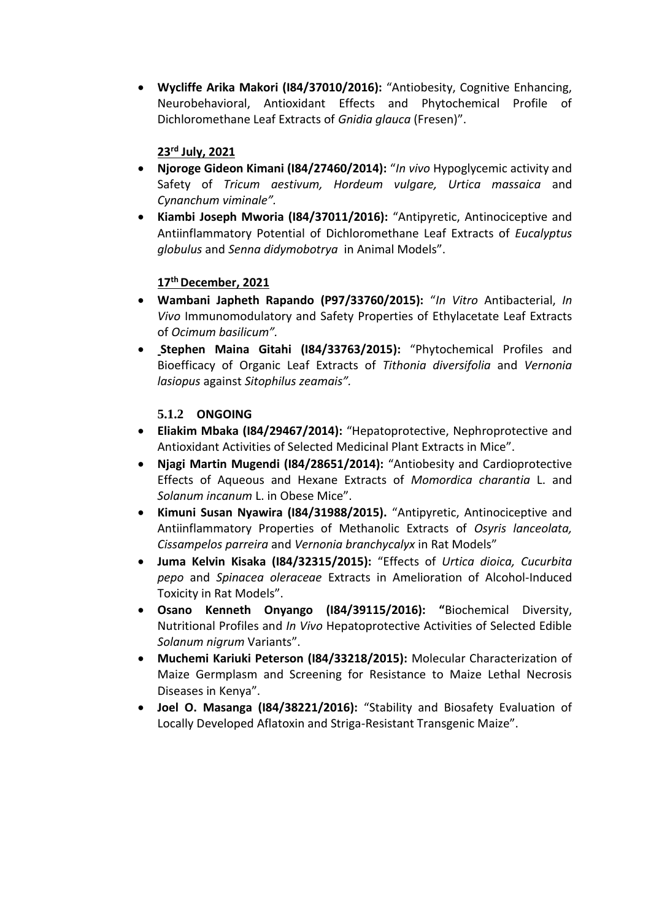• **Wycliffe Arika Makori (I84/37010/2016):** "Antiobesity, Cognitive Enhancing, Neurobehavioral, Antioxidant Effects and Phytochemical Profile of Dichloromethane Leaf Extracts of *Gnidia glauca* (Fresen)".

### **23 rd July, 2021**

- **Njoroge Gideon Kimani (I84/27460/2014):** "*In vivo* Hypoglycemic activity and Safety of *Tricum aestivum, Hordeum vulgare, Urtica massaica* and *Cynanchum viminale".*
- **Kiambi Joseph Mworia (I84/37011/2016):** "Antipyretic, Antinociceptive and Antiinflammatory Potential of Dichloromethane Leaf Extracts of *Eucalyptus globulus* and *Senna didymobotrya* in Animal Models".

### **17th December, 2021**

- **Wambani Japheth Rapando (P97/33760/2015):** "*In Vitro* Antibacterial, *In Vivo* Immunomodulatory and Safety Properties of Ethylacetate Leaf Extracts of *Ocimum basilicum".*
- **Stephen Maina Gitahi (I84/33763/2015):** "Phytochemical Profiles and Bioefficacy of Organic Leaf Extracts of *Tithonia diversifolia* and *Vernonia lasiopus* against *Sitophilus zeamais".*

### **5.1.2 ONGOING**

- **Eliakim Mbaka (I84/29467/2014):** "Hepatoprotective, Nephroprotective and Antioxidant Activities of Selected Medicinal Plant Extracts in Mice".
- **Njagi Martin Mugendi (I84/28651/2014):** "Antiobesity and Cardioprotective Effects of Aqueous and Hexane Extracts of *Momordica charantia* L. and *Solanum incanum* L. in Obese Mice".
- **Kimuni Susan Nyawira (I84/31988/2015).** "Antipyretic, Antinociceptive and Antiinflammatory Properties of Methanolic Extracts of *Osyris lanceolata, Cissampelos parreira* and *Vernonia branchycalyx* in Rat Models"
- **Juma Kelvin Kisaka (I84/32315/2015):** "Effects of *Urtica dioica, Cucurbita pepo* and *Spinacea oleraceae* Extracts in Amelioration of Alcohol-Induced Toxicity in Rat Models".
- **Osano Kenneth Onyango (I84/39115/2016): "**Biochemical Diversity, Nutritional Profiles and *In Vivo* Hepatoprotective Activities of Selected Edible *Solanum nigrum* Variants".
- **Muchemi Kariuki Peterson (I84/33218/2015):** Molecular Characterization of Maize Germplasm and Screening for Resistance to Maize Lethal Necrosis Diseases in Kenya".
- **Joel O. Masanga (I84/38221/2016):** "Stability and Biosafety Evaluation of Locally Developed Aflatoxin and Striga-Resistant Transgenic Maize".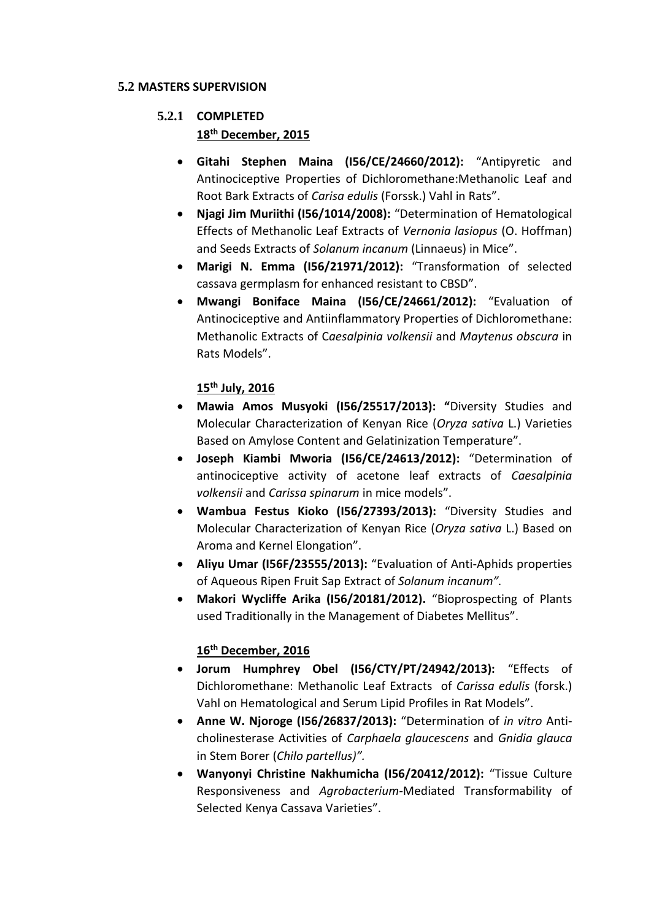#### **5.2 MASTERS SUPERVISION**

#### **5.2.1 COMPLETED**

#### **18th December, 2015**

- **Gitahi Stephen Maina (I56/CE/24660/2012):** "Antipyretic and Antinociceptive Properties of Dichloromethane:Methanolic Leaf and Root Bark Extracts of *Carisa edulis* (Forssk.) Vahl in Rats".
- **Njagi Jim Muriithi (I56/1014/2008):** "Determination of Hematological Effects of Methanolic Leaf Extracts of *Vernonia lasiopus* (O. Hoffman) and Seeds Extracts of *Solanum incanum* (Linnaeus) in Mice".
- **Marigi N. Emma (I56/21971/2012):** "Transformation of selected cassava germplasm for enhanced resistant to CBSD".
- **Mwangi Boniface Maina (I56/CE/24661/2012):** "Evaluation of Antinociceptive and Antiinflammatory Properties of Dichloromethane: Methanolic Extracts of C*aesalpinia volkensii* and *Maytenus obscura* in Rats Models".

#### **15th July, 2016**

- **Mawia Amos Musyoki (I56/25517/2013): "**Diversity Studies and Molecular Characterization of Kenyan Rice (*Oryza sativa* L.) Varieties Based on Amylose Content and Gelatinization Temperature".
- **Joseph Kiambi Mworia (I56/CE/24613/2012):** "Determination of antinociceptive activity of acetone leaf extracts of *Caesalpinia volkensii* and *Carissa spinarum* in mice models".
- **Wambua Festus Kioko (I56/27393/2013):** "Diversity Studies and Molecular Characterization of Kenyan Rice (*Oryza sativa* L.) Based on Aroma and Kernel Elongation".
- **Aliyu Umar (I56F/23555/2013):** "Evaluation of Anti-Aphids properties of Aqueous Ripen Fruit Sap Extract of *Solanum incanum".*
- **Makori Wycliffe Arika (I56/20181/2012).** "Bioprospecting of Plants used Traditionally in the Management of Diabetes Mellitus".

### **16th December, 2016**

- **Jorum Humphrey Obel (I56/CTY/PT/24942/2013):** "Effects of Dichloromethane: Methanolic Leaf Extracts of *Carissa edulis* (forsk.) Vahl on Hematological and Serum Lipid Profiles in Rat Models".
- **Anne W. Njoroge (I56/26837/2013):** "Determination of *in vitro* Anticholinesterase Activities of *Carphaela glaucescens* and *Gnidia glauca*  in Stem Borer (*Chilo partellus)".*
- **Wanyonyi Christine Nakhumicha (I56/20412/2012):** "Tissue Culture Responsiveness and *Agrobacterium-*Mediated Transformability of Selected Kenya Cassava Varieties".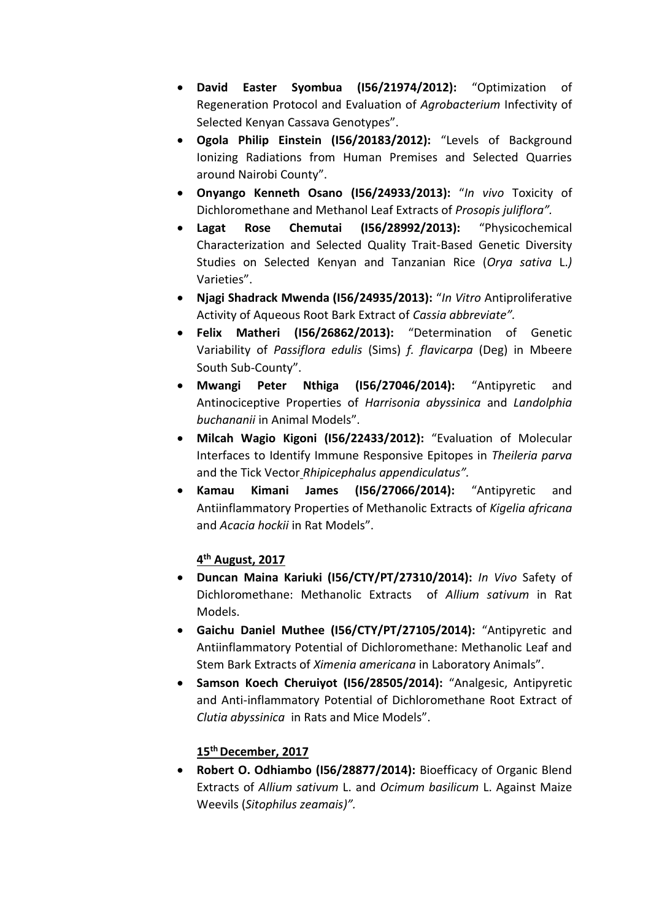- **David Easter Syombua (I56/21974/2012):** "Optimization of Regeneration Protocol and Evaluation of *Agrobacterium* Infectivity of Selected Kenyan Cassava Genotypes".
- **Ogola Philip Einstein (I56/20183/2012):** "Levels of Background Ionizing Radiations from Human Premises and Selected Quarries around Nairobi County".
- **Onyango Kenneth Osano (I56/24933/2013):** "*In vivo* Toxicity of Dichloromethane and Methanol Leaf Extracts of *Prosopis juliflora".*
- **Lagat Rose Chemutai (I56/28992/2013):** "Physicochemical Characterization and Selected Quality Trait-Based Genetic Diversity Studies on Selected Kenyan and Tanzanian Rice (*Orya sativa* L.*)* Varieties".
- **Njagi Shadrack Mwenda (I56/24935/2013):** "*In Vitro* Antiproliferative Activity of Aqueous Root Bark Extract of *Cassia abbreviate".*
- **Felix Matheri (I56/26862/2013):** "Determination of Genetic Variability of *Passiflora edulis* (Sims) *f. flavicarpa* (Deg) in Mbeere South Sub-County".
- **Mwangi Peter Nthiga (I56/27046/2014):** "Antipyretic and Antinociceptive Properties of *Harrisonia abyssinica* and *Landolphia buchananii* in Animal Models".
- **Milcah Wagio Kigoni (I56/22433/2012):** "Evaluation of Molecular Interfaces to Identify Immune Responsive Epitopes in *Theileria parva*  and the Tick Vector *Rhipicephalus appendiculatus".*
- **Kamau Kimani James (I56/27066/2014):** "Antipyretic and Antiinflammatory Properties of Methanolic Extracts of *Kigelia africana*  and *Acacia hockii* in Rat Models".

### **4 th August, 2017**

- **Duncan Maina Kariuki (I56/CTY/PT/27310/2014):** *In Vivo* Safety of Dichloromethane: Methanolic Extracts of *Allium sativum* in Rat Models.
- **Gaichu Daniel Muthee (I56/CTY/PT/27105/2014):** "Antipyretic and Antiinflammatory Potential of Dichloromethane: Methanolic Leaf and Stem Bark Extracts of *Ximenia americana* in Laboratory Animals".
- **Samson Koech Cheruiyot (I56/28505/2014):** "Analgesic, Antipyretic and Anti-inflammatory Potential of Dichloromethane Root Extract of *Clutia abyssinica* in Rats and Mice Models".

### **15th December, 2017**

• **Robert O. Odhiambo (I56/28877/2014):** Bioefficacy of Organic Blend Extracts of *Allium sativum* L. and *Ocimum basilicum* L. Against Maize Weevils (*Sitophilus zeamais)".*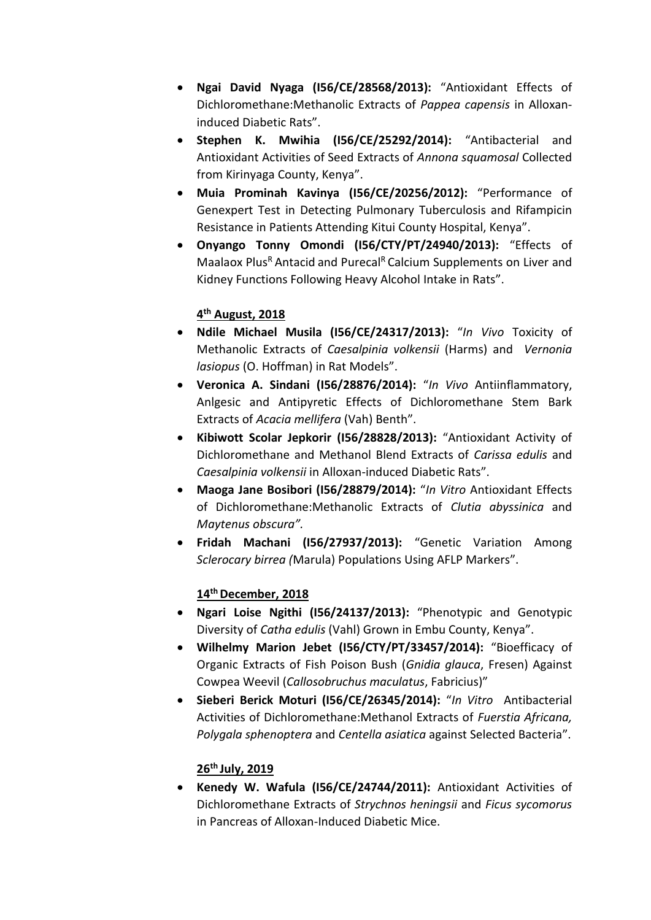- **Ngai David Nyaga (I56/CE/28568/2013):** "Antioxidant Effects of Dichloromethane:Methanolic Extracts of *Pappea capensis* in Alloxaninduced Diabetic Rats".
- **Stephen K. Mwihia (I56/CE/25292/2014):** "Antibacterial and Antioxidant Activities of Seed Extracts of *Annona squamosal* Collected from Kirinyaga County, Kenya".
- **Muia Prominah Kavinya (I56/CE/20256/2012):** "Performance of Genexpert Test in Detecting Pulmonary Tuberculosis and Rifampicin Resistance in Patients Attending Kitui County Hospital, Kenya".
- **Onyango Tonny Omondi (I56/CTY/PT/24940/2013):** "Effects of Maalaox Plus<sup>R</sup> Antacid and Purecal<sup>R</sup> Calcium Supplements on Liver and Kidney Functions Following Heavy Alcohol Intake in Rats".

### **4 th August, 2018**

- **Ndile Michael Musila (I56/CE/24317/2013):** "*In Vivo* Toxicity of Methanolic Extracts of *Caesalpinia volkensii* (Harms) and *Vernonia lasiopus* (O. Hoffman) in Rat Models".
- **Veronica A. Sindani (I56/28876/2014):** "*In Vivo* Antiinflammatory, Anlgesic and Antipyretic Effects of Dichloromethane Stem Bark Extracts of *Acacia mellifera* (Vah) Benth".
- **Kibiwott Scolar Jepkorir (I56/28828/2013):** "Antioxidant Activity of Dichloromethane and Methanol Blend Extracts of *Carissa edulis* and *Caesalpinia volkensii* in Alloxan-induced Diabetic Rats".
- **Maoga Jane Bosibori (I56/28879/2014):** "*In Vitro* Antioxidant Effects of Dichloromethane:Methanolic Extracts of *Clutia abyssinica* and *Maytenus obscura".*
- **Fridah Machani (I56/27937/2013):** "Genetic Variation Among *Sclerocary birrea (*Marula) Populations Using AFLP Markers".

# **14th December, 2018**

- **Ngari Loise Ngithi (I56/24137/2013):** "Phenotypic and Genotypic Diversity of *Catha edulis* (Vahl) Grown in Embu County, Kenya".
- **Wilhelmy Marion Jebet (I56/CTY/PT/33457/2014):** "Bioefficacy of Organic Extracts of Fish Poison Bush (*Gnidia glauca*, Fresen) Against Cowpea Weevil (*Callosobruchus maculatus*, Fabricius)"
- **Sieberi Berick Moturi (I56/CE/26345/2014):** "*In Vitro* Antibacterial Activities of Dichloromethane:Methanol Extracts of *Fuerstia Africana, Polygala sphenoptera* and *Centella asiatica* against Selected Bacteria".

### **26th July, 2019**

• **Kenedy W. Wafula (I56/CE/24744/2011):** Antioxidant Activities of Dichloromethane Extracts of *Strychnos heningsii* and *Ficus sycomorus*  in Pancreas of Alloxan-Induced Diabetic Mice.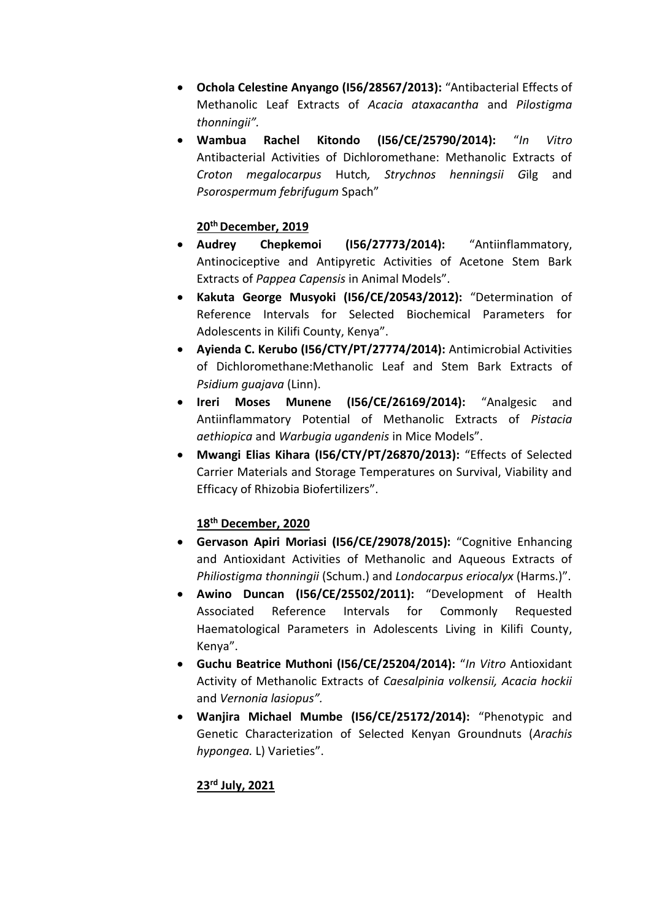- **Ochola Celestine Anyango (I56/28567/2013):** "Antibacterial Effects of Methanolic Leaf Extracts of *Acacia ataxacantha* and *Pilostigma thonningii".*
- **Wambua Rachel Kitondo (I56/CE/25790/2014):** "*In Vitro* Antibacterial Activities of Dichloromethane: Methanolic Extracts of *Croton megalocarpus* Hutch*, Strychnos henningsii G*ilg and *Psorospermum febrifugum* Spach"

### **20th December, 2019**

- **Audrey Chepkemoi (I56/27773/2014):** "Antiinflammatory, Antinociceptive and Antipyretic Activities of Acetone Stem Bark Extracts of *Pappea Capensis* in Animal Models".
- **Kakuta George Musyoki (I56/CE/20543/2012):** "Determination of Reference Intervals for Selected Biochemical Parameters for Adolescents in Kilifi County, Kenya".
- **Ayienda C. Kerubo (I56/CTY/PT/27774/2014):** Antimicrobial Activities of Dichloromethane:Methanolic Leaf and Stem Bark Extracts of *Psidium guajava* (Linn).
- **Ireri Moses Munene (I56/CE/26169/2014):** "Analgesic and Antiinflammatory Potential of Methanolic Extracts of *Pistacia aethiopica* and *Warbugia ugandenis* in Mice Models".
- **Mwangi Elias Kihara (I56/CTY/PT/26870/2013):** "Effects of Selected Carrier Materials and Storage Temperatures on Survival, Viability and Efficacy of Rhizobia Biofertilizers".

### **18th December, 2020**

- **Gervason Apiri Moriasi (I56/CE/29078/2015):** "Cognitive Enhancing and Antioxidant Activities of Methanolic and Aqueous Extracts of *Philiostigma thonningii* (Schum.) and *Londocarpus eriocalyx* (Harms.)".
- **Awino Duncan (I56/CE/25502/2011):** "Development of Health Associated Reference Intervals for Commonly Requested Haematological Parameters in Adolescents Living in Kilifi County, Kenya".
- **Guchu Beatrice Muthoni (I56/CE/25204/2014):** "*In Vitro* Antioxidant Activity of Methanolic Extracts of *Caesalpinia volkensii, Acacia hockii*  and *Vernonia lasiopus".*
- **Wanjira Michael Mumbe (I56/CE/25172/2014):** "Phenotypic and Genetic Characterization of Selected Kenyan Groundnuts (*Arachis hypongea.* L) Varieties".

# **23rd July, 2021**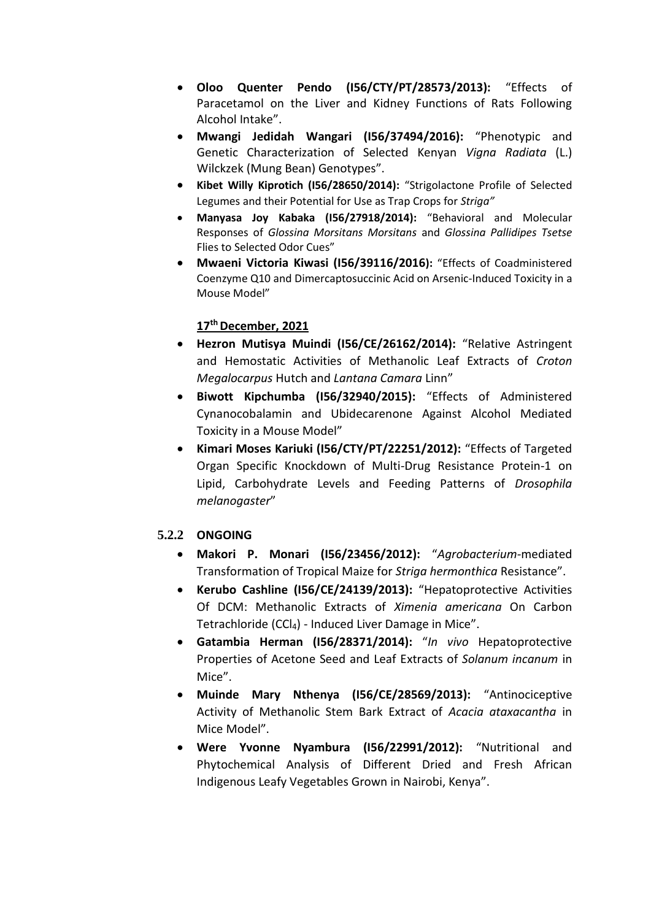- **Oloo Quenter Pendo (I56/CTY/PT/28573/2013):** "Effects of Paracetamol on the Liver and Kidney Functions of Rats Following Alcohol Intake".
- **Mwangi Jedidah Wangari (I56/37494/2016):** "Phenotypic and Genetic Characterization of Selected Kenyan *Vigna Radiata* (L.) Wilckzek (Mung Bean) Genotypes".
- **Kibet Willy Kiprotich (I56/28650/2014):** "Strigolactone Profile of Selected Legumes and their Potential for Use as Trap Crops for *Striga"*
- **Manyasa Joy Kabaka (I56/27918/2014):** "Behavioral and Molecular Responses of *Glossina Morsitans Morsitans* and *Glossina Pallidipes Tsetse* Flies to Selected Odor Cues"
- **Mwaeni Victoria Kiwasi (I56/39116/2016):** "Effects of Coadministered Coenzyme Q10 and Dimercaptosuccinic Acid on Arsenic-Induced Toxicity in a Mouse Model"

### **17th December, 2021**

- **Hezron Mutisya Muindi (I56/CE/26162/2014):** "Relative Astringent and Hemostatic Activities of Methanolic Leaf Extracts of *Croton Megalocarpus* Hutch and *Lantana Camara* Linn"
- **Biwott Kipchumba (I56/32940/2015):** "Effects of Administered Cynanocobalamin and Ubidecarenone Against Alcohol Mediated Toxicity in a Mouse Model"
- **Kimari Moses Kariuki (I56/CTY/PT/22251/2012):** "Effects of Targeted Organ Specific Knockdown of Multi-Drug Resistance Protein-1 on Lipid, Carbohydrate Levels and Feeding Patterns of *Drosophila melanogaster*"

### **5.2.2 ONGOING**

- **Makori P. Monari (I56/23456/2012):** "*Agrobacterium-*mediated Transformation of Tropical Maize for *Striga hermonthica* Resistance".
- **Kerubo Cashline (I56/CE/24139/2013):** "Hepatoprotective Activities Of DCM: Methanolic Extracts of *Ximenia americana* On Carbon Tetrachloride (CCl4) - Induced Liver Damage in Mice".
- **Gatambia Herman (I56/28371/2014):** "*In vivo* Hepatoprotective Properties of Acetone Seed and Leaf Extracts of *Solanum incanum* in Mice".
- **Muinde Mary Nthenya (I56/CE/28569/2013):** "Antinociceptive Activity of Methanolic Stem Bark Extract of *Acacia ataxacantha* in Mice Model".
- **Were Yvonne Nyambura (I56/22991/2012):** "Nutritional and Phytochemical Analysis of Different Dried and Fresh African Indigenous Leafy Vegetables Grown in Nairobi, Kenya".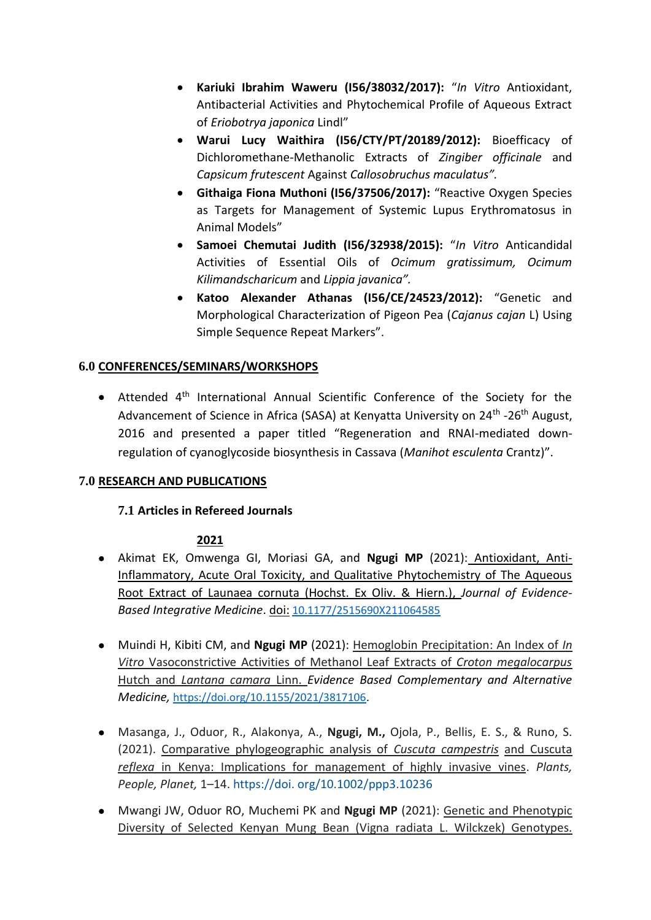- **Kariuki Ibrahim Waweru (I56/38032/2017):** "*In Vitro* Antioxidant, Antibacterial Activities and Phytochemical Profile of Aqueous Extract of *Eriobotrya japonica* Lindl"
- **Warui Lucy Waithira (I56/CTY/PT/20189/2012):** Bioefficacy of Dichloromethane-Methanolic Extracts of *Zingiber officinale* and *Capsicum frutescent* Against *Callosobruchus maculatus".*
- **Githaiga Fiona Muthoni (I56/37506/2017):** "Reactive Oxygen Species as Targets for Management of Systemic Lupus Erythromatosus in Animal Models"
- **Samoei Chemutai Judith (I56/32938/2015):** "*In Vitro* Anticandidal Activities of Essential Oils of *Ocimum gratissimum, Ocimum Kilimandscharicum* and *Lippia javanica".*
- **Katoo Alexander Athanas (I56/CE/24523/2012):** "Genetic and Morphological Characterization of Pigeon Pea (*Cajanus cajan* L) Using Simple Sequence Repeat Markers".

# **6.0 CONFERENCES/SEMINARS/WORKSHOPS**

• Attended 4th International Annual Scientific Conference of the Society for the Advancement of Science in Africa (SASA) at Kenyatta University on 24<sup>th</sup> -26<sup>th</sup> August, 2016 and presented a paper titled "Regeneration and RNAI-mediated downregulation of cyanoglycoside biosynthesis in Cassava (*Manihot esculenta* Crantz)".

# **7.0 RESEARCH AND PUBLICATIONS**

# **7.1 Articles in Refereed Journals**

- Akimat EK, Omwenga GI, Moriasi GA, and **Ngugi MP** (2021): Antioxidant, Anti-Inflammatory, Acute Oral Toxicity, and Qualitative Phytochemistry of The Aqueous Root Extract of Launaea cornuta (Hochst. Ex Oliv. & Hiern.), *Journal of Evidence-Based Integrative Medicine*. doi: [10.1177/2515690X211064585](https://doi.org/10.1177/2515690X211064585)
- Muindi H, Kibiti CM, and **Ngugi MP** (2021): Hemoglobin Precipitation: An Index of *In Vitro* Vasoconstrictive Activities of Methanol Leaf Extracts of *Croton megalocarpus* Hutch and *Lantana camara* Linn. *Evidence Based Complementary and Alternative Medicine,* [https://doi.org/10.1155/2021/3817106.](https://doi.org/10.1155/2021/3817106)
- Masanga, J., Oduor, R., Alakonya, A., **Ngugi, M.,** Ojola, P., Bellis, E. S., & Runo, S. (2021). Comparative phylogeographic analysis of *Cuscuta campestris* and Cuscuta *reflexa* in Kenya: Implications for management of highly invasive vines. *Plants, People, Planet,* 1*–*14. https://doi. org/10.1002/ppp3.10236
- Mwangi JW, Oduor RO, Muchemi PK and **Ngugi MP** (2021): Genetic and Phenotypic Diversity of Selected Kenyan Mung Bean (Vigna radiata L. Wilckzek) Genotypes.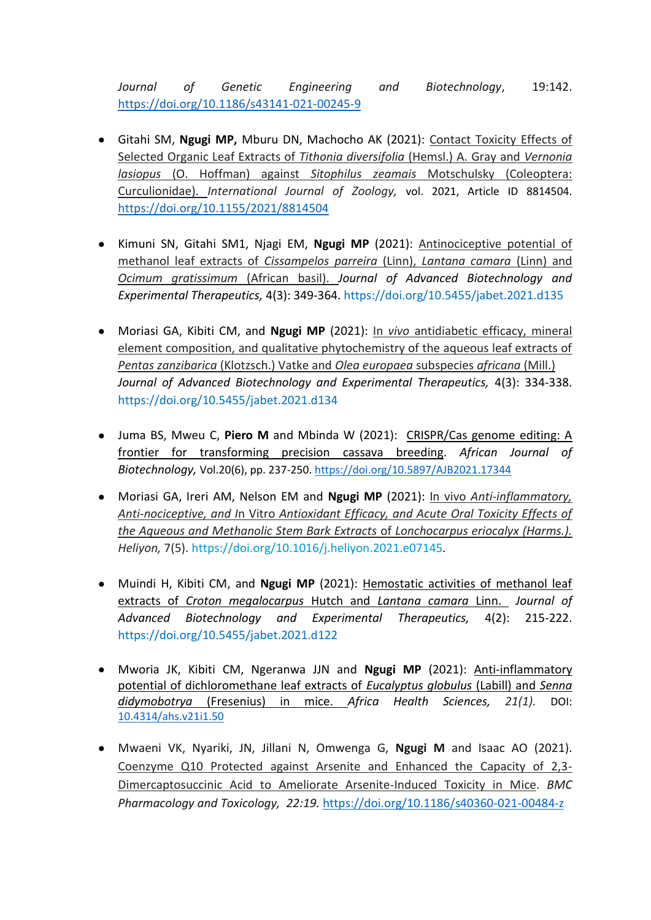*Journal of Genetic Engineering and Biotechnology*, 19:142. <https://doi.org/10.1186/s43141-021-00245-9>

- Gitahi SM, **Ngugi MP,** Mburu DN, Machocho AK (2021): Contact Toxicity Effects of Selected Organic Leaf Extracts of *Tithonia diversifolia* (Hemsl.) A. Gray and *Vernonia lasiopus* (O. Hoffman) against *Sitophilus zeamais* Motschulsky (Coleoptera: Curculionidae). *International Journal of Zoology,* vol. 2021, Article ID 8814504. <https://doi.org/10.1155/2021/8814504>
- Kimuni SN, Gitahi SM1, Njagi EM, **Ngugi MP** (2021): Antinociceptive potential of methanol leaf extracts of *Cissampelos parreira* (Linn), *Lantana camara* (Linn) and *Ocimum gratissimum* (African basil). *Journal of Advanced Biotechnology and Experimental Therapeutics,* 4(3): 349-364. https://doi.org/10.5455/jabet.2021.d135
- Moriasi GA, Kibiti CM, and **Ngugi MP** (2021): In *vivo* antidiabetic efficacy, mineral element composition, and qualitative phytochemistry of the aqueous leaf extracts of *Pentas zanzibarica* (Klotzsch.) Vatke and *Olea europaea* subspecies *africana* (Mill.) *Journal of Advanced Biotechnology and Experimental Therapeutics,* 4(3): 334-338. https://doi.org/10.5455/jabet.2021.d134
- Juma BS, Mweu C, **Piero M** and Mbinda W (2021): CRISPR/Cas genome editing: A frontier for transforming precision cassava breeding. *African Journal of Biotechnology,* Vol.20(6), pp. 237-250[. https://doi.org/10.5897/AJB2021.17344](https://doi.org/10.5897/AJB2021.17344)
- Moriasi GA, Ireri AM, Nelson EM and **Ngugi MP** (2021): In vivo *Anti-inflammatory, Anti-nociceptive, and I*n Vitro *Antioxidant Efficacy, and Acute Oral Toxicity Effects of the Aqueous and Methanolic Stem Bark Extracts* of *Lonchocarpus eriocalyx (Harms.). Heliyon,* 7(5). https://doi.org/10.1016/j.heliyon.2021.e07145*.*
- Muindi H, Kibiti CM, and **Ngugi MP** (2021): Hemostatic activities of methanol leaf extracts of *Croton megalocarpus* Hutch and *Lantana camara* Linn. *Journal of Advanced Biotechnology and Experimental Therapeutics,* 4(2): 215-222. https://doi.org/10.5455/jabet.2021.d122
- Mworia JK, Kibiti CM, Ngeranwa JJN and **Ngugi MP** (2021): Anti-inflammatory potential of dichloromethane leaf extracts of *Eucalyptus globulus* (Labill) and *Senna didymobotrya* (Fresenius) in mice. *Africa Health Sciences, 21(1).* DOI: [10.4314/ahs.v21i1.50](https://doi.org/10.4314/ahs.v21i1.50)
- Mwaeni VK, Nyariki, JN, Jillani N, Omwenga G, **Ngugi M** and Isaac AO (2021). Coenzyme Q10 Protected against Arsenite and Enhanced the Capacity of 2,3- Dimercaptosuccinic Acid to Ameliorate Arsenite-Induced Toxicity in Mice. *BMC Pharmacology and Toxicology, 22:19.* <https://doi.org/10.1186/s40360-021-00484-z>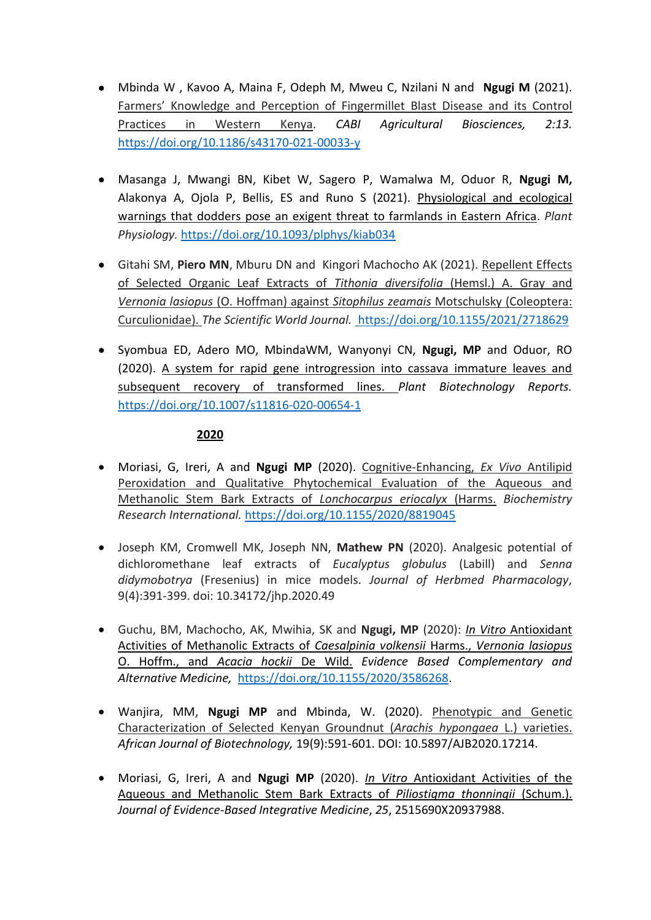- Mbinda W , Kavoo A, Maina F, Odeph M, Mweu C, Nzilani N and **Ngugi M** (2021). Farmers' Knowledge and Perception of Fingermillet Blast Disease and its Control Practices in Western Kenya. *CABI Agricultural Biosciences, 2:13.*  <https://doi.org/10.1186/s43170-021-00033-y>
- Masanga J, Mwangi BN, Kibet W, Sagero P, Wamalwa M, Oduor R, **Ngugi M,** Alakonya A, Ojola P, Bellis, ES and Runo S (2021). Physiological and ecological warnings that dodders pose an exigent threat to farmlands in Eastern Africa. *Plant Physiology.* <https://doi.org/10.1093/plphys/kiab034>
- Gitahi SM, **Piero MN**, Mburu DN and Kingori Machocho AK (2021). Repellent Effects of Selected Organic Leaf Extracts of *Tithonia diversifolia* (Hemsl.) A. Gray and *Vernonia lasiopus* (O. Hoffman) against *Sitophilus zeamais* Motschulsky (Coleoptera: Curculionidae). *The Scientific World Journal.* <https://doi.org/10.1155/2021/2718629>
- Syombua ED, Adero MO, MbindaWM, Wanyonyi CN, **Ngugi, MP** and Oduor, RO (2020). A system for rapid gene introgression into cassava immature leaves and subsequent recovery of transformed lines. *Plant Biotechnology Reports.* <https://doi.org/10.1007/s11816-020-00654-1>

- Moriasi, G, Ireri, A and **Ngugi MP** (2020). Cognitive-Enhancing, *Ex Vivo* Antilipid Peroxidation and Qualitative Phytochemical Evaluation of the Aqueous and Methanolic Stem Bark Extracts of *Lonchocarpus eriocalyx* (Harms. *Biochemistry Research International.* <https://doi.org/10.1155/2020/8819045>
- Joseph KM, Cromwell MK, Joseph NN, **Mathew PN** (2020). Analgesic potential of dichloromethane leaf extracts of *Eucalyptus globulus* (Labill) and *Senna didymobotrya* (Fresenius) in mice models. *Journal of Herbmed Pharmacology*, 9(4):391-399. doi: 10.34172/jhp.2020.49
- Guchu, BM, Machocho, AK, Mwihia, SK and **Ngugi, MP** (2020): *In Vitro* Antioxidant Activities of Methanolic Extracts of *Caesalpinia volkensii* Harms., *Vernonia lasiopus*  O. Hoffm., and *Acacia hockii* De Wild. *Evidence Based Complementary and Alternative Medicine,* [https://doi.org/10.1155/2020/3586268.](https://doi.org/10.1155/2020/3586268)
- Wanjira, MM, **Ngugi MP** and Mbinda, W. (2020). Phenotypic and Genetic Characterization of Selected Kenyan Groundnut (*Arachis hypongaea* L.) varieties. *African Journal of Biotechnology,* 19(9):591-601. DOI: 10.5897/AJB2020.17214.
- Moriasi, G, Ireri, A and **Ngugi MP** (2020). *In Vitro* Antioxidant Activities of the Aqueous and Methanolic Stem Bark Extracts of *Piliostigma thonningii* (Schum.). *Journal of Evidence-Based Integrative Medicine*, *25*, 2515690X20937988.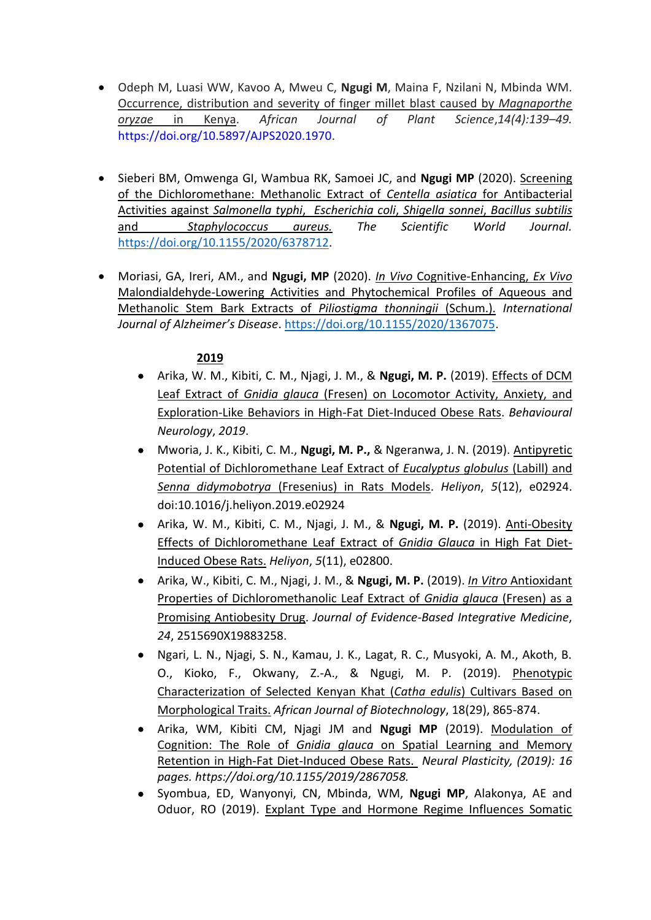- Odeph M, Luasi WW, Kavoo A, Mweu C, **Ngugi M**, Maina F, Nzilani N, Mbinda WM. Occurrence, distribution and severity of finger millet blast caused by *Magnaporthe oryzae* in Kenya. *African Journal of Plant Science*,*14(4):139–49.* https://doi.org/10.5897/AJPS2020.1970.
- Sieberi BM, Omwenga GI, Wambua RK, Samoei JC, and **Ngugi MP** (2020). Screening of the Dichloromethane: Methanolic Extract of *Centella asiatica* for Antibacterial Activities against *Salmonella typhi*, *Escherichia coli*, *Shigella sonnei*, *Bacillus subtilis* and *Staphylococcus aureus. The Scientific World Journal.*  [https://doi.org/10.1155/2020/6378712.](https://doi.org/10.1155/2020/6378712)
- Moriasi, GA, Ireri, AM., and **Ngugi, MP** (2020). *In Vivo* Cognitive-Enhancing, *Ex Vivo* Malondialdehyde-Lowering Activities and Phytochemical Profiles of Aqueous and Methanolic Stem Bark Extracts of *Piliostigma thonningii* (Schum.). *International Journal of Alzheimer's Disease*. [https://doi.org/10.1155/2020/1367075.](https://doi.org/10.1155/2020/1367075)

- Arika, W. M., Kibiti, C. M., Njagi, J. M., & **Ngugi, M. P.** (2019). Effects of DCM Leaf Extract of *Gnidia glauca* (Fresen) on Locomotor Activity, Anxiety, and Exploration-Like Behaviors in High-Fat Diet-Induced Obese Rats. *Behavioural Neurology*, *2019*.
- Mworia, J. K., Kibiti, C. M., **Ngugi, M. P.,** & Ngeranwa, J. N. (2019). Antipyretic Potential of Dichloromethane Leaf Extract of *Eucalyptus globulus* (Labill) and *Senna didymobotrya* (Fresenius) in Rats Models. *Heliyon*, *5*(12), e02924. doi:10.1016/j.heliyon.2019.e02924
- Arika, W. M., Kibiti, C. M., Njagi, J. M., & **Ngugi, M. P.** (2019). Anti-Obesity Effects of Dichloromethane Leaf Extract of *Gnidia Glauca* in High Fat Diet-Induced Obese Rats. *Heliyon*, *5*(11), e02800.
- Arika, W., Kibiti, C. M., Njagi, J. M., & **Ngugi, M. P.** (2019). *In Vitro* Antioxidant Properties of Dichloromethanolic Leaf Extract of *Gnidia glauca* (Fresen) as a Promising Antiobesity Drug. *Journal of Evidence-Based Integrative Medicine*, *24*, 2515690X19883258.
- Ngari, L. N., Njagi, S. N., Kamau, J. K., Lagat, R. C., Musyoki, A. M., Akoth, B. O., Kioko, F., Okwany, Z.-A., & Ngugi, M. P. (2019). Phenotypic Characterization of Selected Kenyan Khat (*Catha edulis*) Cultivars Based on Morphological Traits. *African Journal of Biotechnology*, 18(29), 865-874.
- Arika, WM, Kibiti CM, Njagi JM and **Ngugi MP** (2019). Modulation of Cognition: The Role of *Gnidia glauca* on Spatial Learning and Memory Retention in High-Fat Diet-Induced Obese Rats. *Neural Plasticity, (2019): 16 pages. https://doi.org/10.1155/2019/2867058.*
- Syombua, ED, Wanyonyi, CN, Mbinda, WM, **Ngugi MP**, Alakonya, AE and Oduor, RO (2019). Explant Type and Hormone Regime Influences Somatic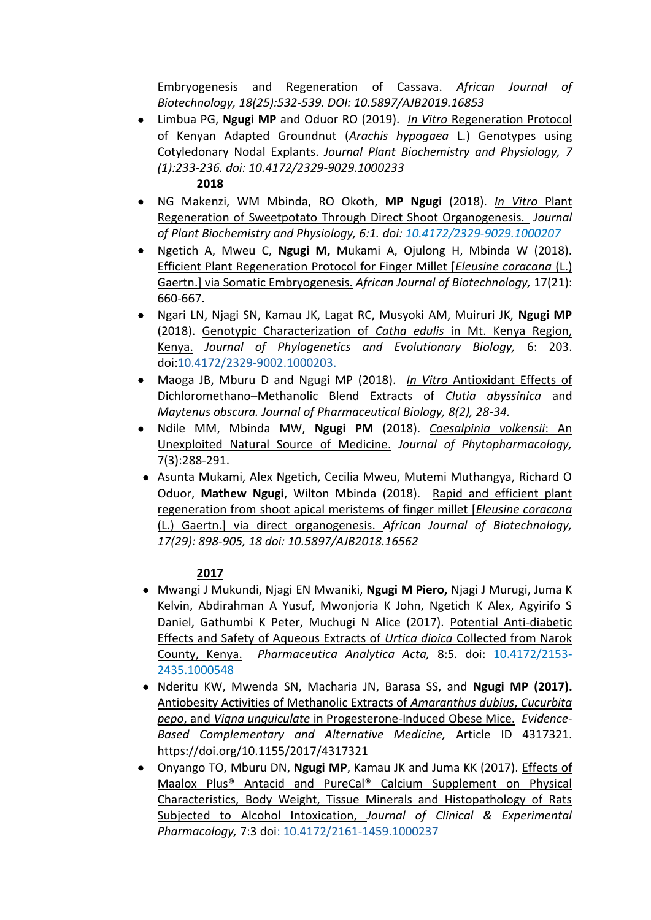Embryogenesis and Regeneration of Cassava. *African Journal of Biotechnology, 18(25):532-539. DOI: 10.5897/AJB2019.16853*

- Limbua PG, **Ngugi MP** and Oduor RO (2019). *In Vitro* Regeneration Protocol of Kenyan Adapted Groundnut (*Arachis hypogaea* L.) Genotypes using Cotyledonary Nodal Explants. *Journal Plant Biochemistry and Physiology, 7 (1):233-236. doi: 10.4172/2329-9029.1000233* **2018**
- NG Makenzi, WM Mbinda, RO Okoth, **MP Ngugi** (2018). *In Vitro* Plant Regeneration of Sweetpotato Through Direct Shoot Organogenesis*. Journal of Plant Biochemistry and Physiology, 6:1. doi: 10.4172/2329-9029.1000207*
- Ngetich A, Mweu C, **Ngugi M,** Mukami A, Ojulong H, Mbinda W (2018). Efficient Plant Regeneration Protocol for Finger Millet [*Eleusine coracana* (L.) Gaertn.] via Somatic Embryogenesis. *African Journal of Biotechnology,* 17(21): 660-667.
- Ngari LN, Njagi SN, Kamau JK, Lagat RC, Musyoki AM, Muiruri JK, **Ngugi MP** (2018). Genotypic Characterization of *Catha edulis* in Mt. Kenya Region, Kenya. *Journal of Phylogenetics and Evolutionary Biology,* 6: 203. doi:10.4172/2329-9002.1000203.
- Maoga JB, Mburu D and Ngugi MP (2018). *In Vitro* Antioxidant Effects of Dichloromethano–Methanolic Blend Extracts of *Clutia abyssinica* and *Maytenus obscura. Journal of Pharmaceutical Biology, 8(2), 28-34.*
- Ndile MM, Mbinda MW, **Ngugi PM** (2018). *Caesalpinia volkensii*: An Unexploited Natural Source of Medicine. *Journal of Phytopharmacology,* 7(3):288-291.
- Asunta Mukami, Alex Ngetich, Cecilia Mweu, Mutemi Muthangya, Richard O Oduor, **Mathew Ngugi**, Wilton Mbinda (2018). Rapid and efficient plant regeneration from shoot apical meristems of finger millet [*Eleusine coracana*  (L.) Gaertn.] via direct organogenesis. *African Journal of Biotechnology, 17(29): 898-905, 18 doi: 10.5897/AJB2018.16562*

- Mwangi J Mukundi, Njagi EN Mwaniki, **Ngugi M Piero,** Njagi J Murugi, Juma K Kelvin, Abdirahman A Yusuf, Mwonjoria K John, Ngetich K Alex, Agyirifo S Daniel, Gathumbi K Peter, Muchugi N Alice (2017). Potential Anti-diabetic Effects and Safety of Aqueous Extracts of *Urtica dioica* Collected from Narok County, Kenya. *Pharmaceutica Analytica Acta,* 8:5. doi: 10.4172/2153- 2435.1000548
- Nderitu KW, Mwenda SN, Macharia JN, Barasa SS, and **Ngugi MP (2017).**  Antiobesity Activities of Methanolic Extracts of *Amaranthus dubius*, *Cucurbita pepo*, and *Vigna unguiculate* in Progesterone-Induced Obese Mice. *Evidence-Based Complementary and Alternative Medicine,* Article ID 4317321. https://doi.org/10.1155/2017/4317321
- Onyango TO, Mburu DN, **Ngugi MP**, Kamau JK and Juma KK (2017). Effects of Maalox Plus® Antacid and PureCal® Calcium Supplement on Physical Characteristics, Body Weight, Tissue Minerals and Histopathology of Rats Subjected to Alcohol Intoxication, *Journal of Clinical & Experimental Pharmacology,* 7:3 doi: 10.4172/2161-1459.1000237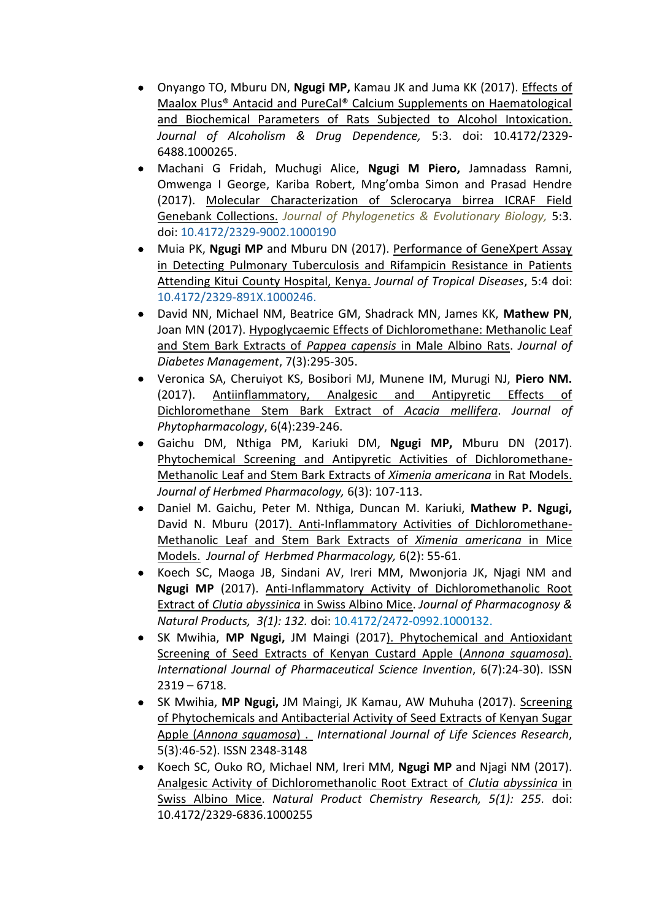- Onyango TO, Mburu DN, **Ngugi MP,** Kamau JK and Juma KK (2017). Effects of Maalox Plus® Antacid and PureCal® Calcium Supplements on Haematological and Biochemical Parameters of Rats Subjected to Alcohol Intoxication. *Journal of Alcoholism & Drug Dependence,* 5:3. doi: 10.4172/2329- 6488.1000265.
- Machani G Fridah, Muchugi Alice, **Ngugi M Piero,** Jamnadass Ramni, Omwenga I George, Kariba Robert, Mng'omba Simon and Prasad Hendre (2017). Molecular Characterization of Sclerocarya birrea ICRAF Field Genebank Collections. *Journal of Phylogenetics & Evolutionary Biology,* 5:3. doi: 10.4172/2329-9002.1000190
- Muia PK, **Ngugi MP** and Mburu DN (2017). Performance of GeneXpert Assay in Detecting Pulmonary Tuberculosis and Rifampicin Resistance in Patients Attending Kitui County Hospital, Kenya. *Journal of Tropical Diseases*, 5:4 doi: 10.4172/2329-891X.1000246.
- David NN, Michael NM, Beatrice GM, Shadrack MN, James KK, **Mathew PN**, Joan MN (2017). Hypoglycaemic Effects of Dichloromethane: Methanolic Leaf and Stem Bark Extracts of *Pappea capensis* in Male Albino Rats. *Journal of Diabetes Management*, 7(3):295-305.
- Veronica SA, Cheruiyot KS, Bosibori MJ, Munene IM, Murugi NJ, **Piero NM.** (2017). Antiinflammatory, Analgesic and Antipyretic Effects of Dichloromethane Stem Bark Extract of *Acacia mellifera*. *Journal of Phytopharmacology*, 6(4):239-246.
- Gaichu DM, Nthiga PM, Kariuki DM, **Ngugi MP,** Mburu DN (2017). Phytochemical Screening and Antipyretic Activities of Dichloromethane-Methanolic Leaf and Stem Bark Extracts of *Ximenia americana* in Rat Models. *Journal of Herbmed Pharmacology,* 6(3): 107-113.
- Daniel M. Gaichu, Peter M. Nthiga, Duncan M. Kariuki, **Mathew P. Ngugi,** David N. Mburu (2017). Anti-Inflammatory Activities of Dichloromethane-Methanolic Leaf and Stem Bark Extracts of *Ximenia americana* in Mice Models. *Journal of Herbmed Pharmacology,* 6(2): 55-61.
- Koech SC, Maoga JB, Sindani AV, Ireri MM, Mwonjoria JK, Njagi NM and **Ngugi MP** (2017). Anti-Inflammatory Activity of Dichloromethanolic Root Extract of *Clutia abyssinica* in Swiss Albino Mice. *Journal of Pharmacognosy & Natural Products, 3(1): 132.* doi: 10.4172/2472-0992.1000132.
- SK Mwihia, **MP Ngugi,** JM Maingi (2017). Phytochemical and Antioxidant Screening of Seed Extracts of Kenyan Custard Apple (*Annona squamosa*). *International Journal of Pharmaceutical Science Invention*, 6(7):24-30). ISSN  $2319 - 6718.$
- SK Mwihia, **MP Ngugi,** JM Maingi, JK Kamau, AW Muhuha (2017). Screening of Phytochemicals and Antibacterial Activity of Seed Extracts of Kenyan Sugar Apple (*Annona squamosa*) . *International Journal of Life Sciences Research*, 5(3):46-52). ISSN 2348-3148
- Koech SC, Ouko RO, Michael NM, Ireri MM, **Ngugi MP** and Njagi NM (2017). Analgesic Activity of Dichloromethanolic Root Extract of *Clutia abyssinica* in Swiss Albino Mice. *Natural Product Chemistry Research, 5(1): 255.* doi: 10.4172/2329-6836.1000255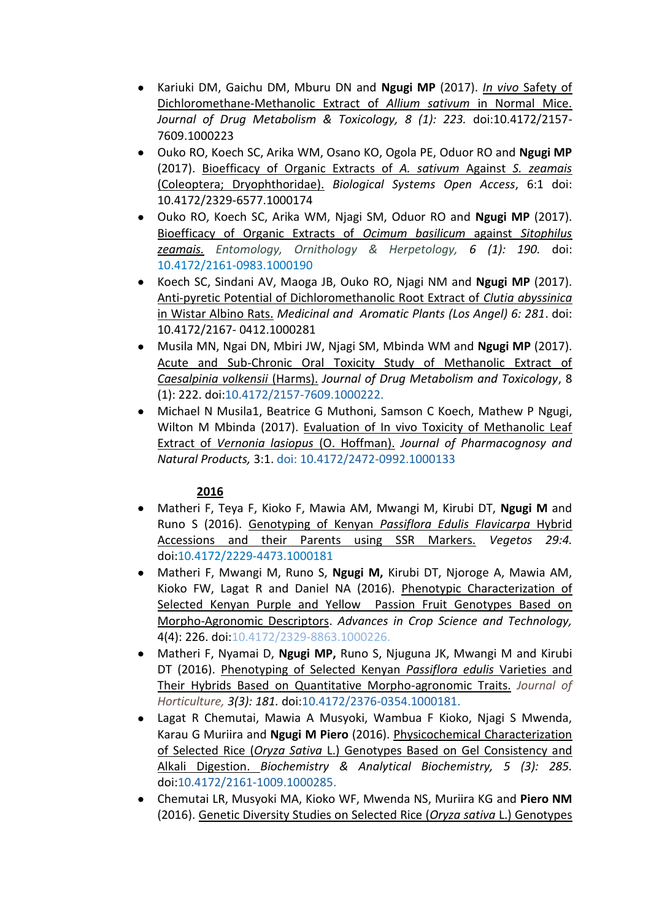- Kariuki DM, Gaichu DM, Mburu DN and **Ngugi MP** (2017). *In vivo* Safety of Dichloromethane-Methanolic Extract of *Allium sativum* in Normal Mice. *Journal of Drug Metabolism & Toxicology, 8 (1): 223.* doi:10.4172/2157- 7609.1000223
- Ouko RO, Koech SC, Arika WM, Osano KO, Ogola PE, Oduor RO and **Ngugi MP** (2017). Bioefficacy of Organic Extracts of *A. sativum* Against *S. zeamais*  (Coleoptera; Dryophthoridae). *Biological Systems Open Access*, 6:1 doi: 10.4172/2329-6577.1000174
- Ouko RO, Koech SC, Arika WM, Njagi SM, Oduor RO and **Ngugi MP** (2017). Bioefficacy of Organic Extracts of *Ocimum basilicum* against *Sitophilus zeamais. Entomology, Ornithology & Herpetology, 6 (1): 190.* doi: 10.4172/2161-0983.1000190
- Koech SC, Sindani AV, Maoga JB, Ouko RO, Njagi NM and **Ngugi MP** (2017). Anti-pyretic Potential of Dichloromethanolic Root Extract of *Clutia abyssinica*  in Wistar Albino Rats. *Medicinal and Aromatic Plants (Los Angel) 6: 281*. doi: 10.4172/2167- 0412.1000281
- Musila MN, Ngai DN, Mbiri JW, Njagi SM, Mbinda WM and **Ngugi MP** (2017). Acute and Sub-Chronic Oral Toxicity Study of Methanolic Extract of *Caesalpinia volkensii* (Harms). *Journal of Drug Metabolism and Toxicology*, 8 (1): 222. doi:10.4172/2157-7609.1000222.
- Michael N Musila1, Beatrice G Muthoni, Samson C Koech, Mathew P Ngugi, Wilton M Mbinda (2017). Evaluation of In vivo Toxicity of Methanolic Leaf Extract of *Vernonia lasiopus* (O. Hoffman). *Journal of Pharmacognosy and Natural Products,* 3:1. doi: 10.4172/2472-0992.1000133

- Matheri F, Teya F, Kioko F, Mawia AM, Mwangi M, Kirubi DT, **Ngugi M** and Runo S (2016). Genotyping of Kenyan *Passiflora Edulis Flavicarpa* Hybrid Accessions and their Parents using SSR Markers. *Vegetos 29:4.*  doi:10.4172/2229-4473.1000181
- Matheri F, Mwangi M, Runo S, **Ngugi M,** Kirubi DT, Njoroge A, Mawia AM, Kioko FW, Lagat R and Daniel NA (2016). Phenotypic Characterization of Selected Kenyan Purple and Yellow Passion Fruit Genotypes Based on Morpho-Agronomic Descriptors. *Advances in Crop Science and Technology,*  4(4): 226. doi:10.4172/2329-8863.1000226.
- Matheri F, Nyamai D, **Ngugi MP,** Runo S, Njuguna JK, Mwangi M and Kirubi DT (2016). Phenotyping of Selected Kenyan *Passiflora edulis* Varieties and Their Hybrids Based on Quantitative Morpho-agronomic Traits. *Journal of Horticulture, 3(3): 181.* doi:10.4172/2376-0354.1000181.
- Lagat R Chemutai, Mawia A Musyoki, Wambua F Kioko, Njagi S Mwenda, Karau G Muriira and **Ngugi M Piero** (2016). Physicochemical Characterization of Selected Rice (*Oryza Sativa* L.) Genotypes Based on Gel Consistency and Alkali Digestion. *Biochemistry & Analytical Biochemistry, 5 (3): 285.* doi:10.4172/2161-1009.1000285.
- Chemutai LR, Musyoki MA, Kioko WF, Mwenda NS, Muriira KG and **Piero NM** (2016). Genetic Diversity Studies on Selected Rice (*Oryza sativa* L.) Genotypes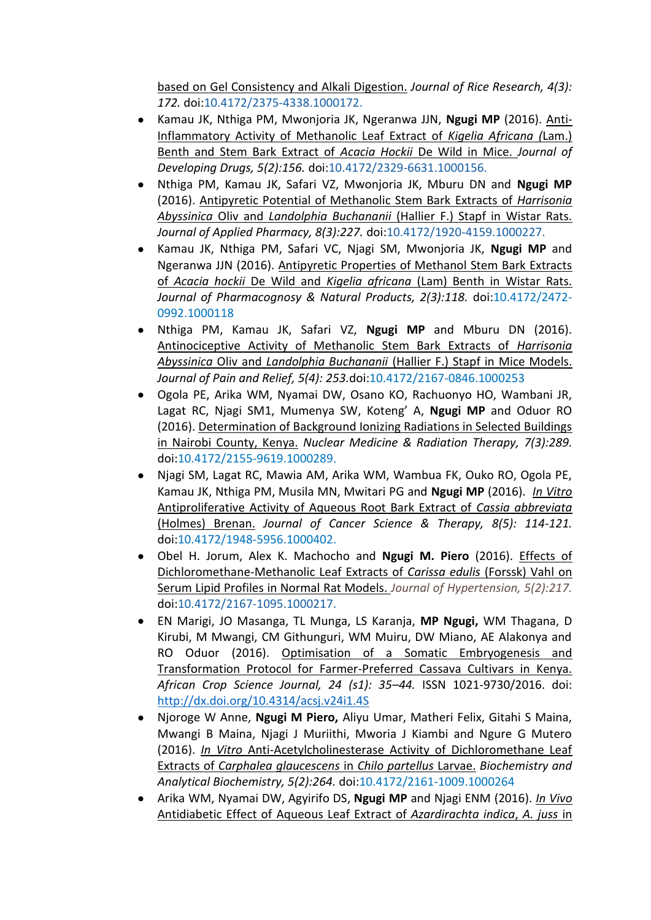based on Gel Consistency and Alkali Digestion. *Journal of Rice Research, 4(3): 172.* doi:10.4172/2375-4338.1000172.

- Kamau JK, Nthiga PM, Mwonjoria JK, Ngeranwa JJN, **Ngugi MP** (2016). Anti-Inflammatory Activity of Methanolic Leaf Extract of *Kigelia Africana (*Lam.) Benth and Stem Bark Extract of *Acacia Hockii* De Wild in Mice. *Journal of Developing Drugs, 5(2):156.* doi:10.4172/2329-6631.1000156.
- Nthiga PM, Kamau JK, Safari VZ, Mwonjoria JK, Mburu DN and **Ngugi MP** (2016). Antipyretic Potential of Methanolic Stem Bark Extracts of *Harrisonia Abyssinica* Oliv and *Landolphia Buchananii* (Hallier F.) Stapf in Wistar Rats. *Journal of Applied Pharmacy, 8(3):227.* doi:10.4172/1920-4159.1000227.
- Kamau JK, Nthiga PM, Safari VC, Njagi SM, Mwonjoria JK, **Ngugi MP** and Ngeranwa JJN (2016). Antipyretic Properties of Methanol Stem Bark Extracts of *Acacia hockii* De Wild and *Kigelia africana* (Lam) Benth in Wistar Rats. *Journal of Pharmacognosy & Natural Products, 2(3):118.* doi:10.4172/2472- 0992.1000118
- Nthiga PM, Kamau JK, Safari VZ, **Ngugi MP** and Mburu DN (2016). Antinociceptive Activity of Methanolic Stem Bark Extracts of *Harrisonia Abyssinica* Oliv and *Landolphia Buchananii* (Hallier F.) Stapf in Mice Models. *Journal of Pain and Relief, 5(4): 253.*doi:10.4172/2167-0846.1000253
- Ogola PE, Arika WM, Nyamai DW, Osano KO, Rachuonyo HO, Wambani JR, Lagat RC, Njagi SM1, Mumenya SW, Koteng' A, **Ngugi MP** and Oduor RO (2016). Determination of Background Ionizing Radiations in Selected Buildings in Nairobi County, Kenya. *Nuclear Medicine & Radiation Therapy, 7(3):289.*  doi:10.4172/2155-9619.1000289.
- Njagi SM, Lagat RC, Mawia AM, Arika WM, Wambua FK, Ouko RO, Ogola PE, Kamau JK, Nthiga PM, Musila MN, Mwitari PG and **Ngugi MP** (2016). *In Vitro* Antiproliferative Activity of Aqueous Root Bark Extract of *Cassia abbreviata* (Holmes) Brenan. *Journal of Cancer Science & Therapy, 8(5): 114-121.* doi:10.4172/1948-5956.1000402.
- Obel H. Jorum, Alex K. Machocho and **Ngugi M. Piero** (2016). Effects of Dichloromethane-Methanolic Leaf Extracts of *Carissa edulis* (Forssk) Vahl on Serum Lipid Profiles in Normal Rat Models. *Journal of Hypertension, 5(2):217.*  doi:10.4172/2167-1095.1000217.
- EN Marigi, JO Masanga, TL Munga, LS Karanja, **MP Ngugi,** WM Thagana, D Kirubi, M Mwangi, CM Githunguri, WM Muiru, DW Miano, AE Alakonya and RO Oduor (2016). Optimisation of a Somatic Embryogenesis and Transformation Protocol for Farmer-Preferred Cassava Cultivars in Kenya. *African Crop Science Journal, 24 (s1): 35–44.* ISSN 1021-9730/2016. doi: <http://dx.doi.org/10.4314/acsj.v24i1.4S>
- Njoroge W Anne, **Ngugi M Piero,** Aliyu Umar, Matheri Felix, Gitahi S Maina, Mwangi B Maina, Njagi J Muriithi, Mworia J Kiambi and Ngure G Mutero (2016). *In Vitro* Anti-Acetylcholinesterase Activity of Dichloromethane Leaf Extracts of *Carphalea glaucescens* in *Chilo partellus* Larvae. *Biochemistry and Analytical Biochemistry, 5(2):264.* doi:10.4172/2161-1009.1000264
- Arika WM, Nyamai DW, Agyirifo DS, **Ngugi MP** and Njagi ENM (2016). *In Vivo*  Antidiabetic Effect of Aqueous Leaf Extract of *Azardirachta indica*, *A. juss* in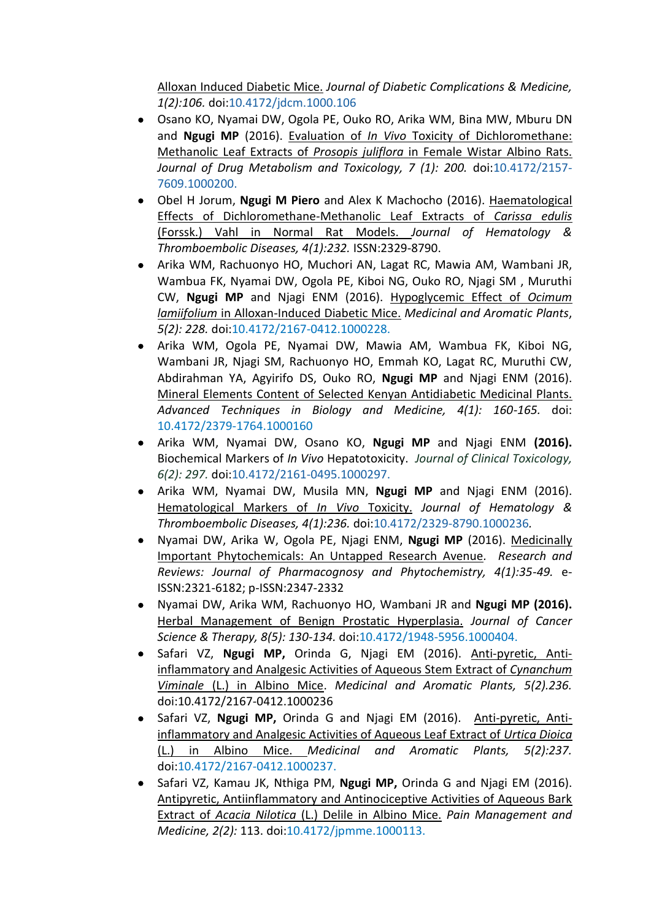Alloxan Induced Diabetic Mice. *Journal of Diabetic Complications & Medicine, 1(2):106.* doi:10.4172/jdcm.1000.106

- Osano KO, Nyamai DW, Ogola PE, Ouko RO, Arika WM, Bina MW, Mburu DN and **Ngugi MP** (2016). Evaluation of *In Vivo* Toxicity of Dichloromethane: Methanolic Leaf Extracts of *Prosopis juliflora* in Female Wistar Albino Rats. *Journal of Drug Metabolism and Toxicology, 7 (1): 200.* doi:10.4172/2157- 7609.1000200.
- Obel H Jorum, **Ngugi M Piero** and Alex K Machocho (2016). Haematological Effects of Dichloromethane-Methanolic Leaf Extracts of *Carissa edulis* (Forssk.) Vahl in Normal Rat Models. *Journal of Hematology & Thromboembolic Diseases, 4(1):232.* ISSN:2329-8790.
- Arika WM, Rachuonyo HO, Muchori AN, Lagat RC, Mawia AM, Wambani JR, Wambua FK, Nyamai DW, Ogola PE, Kiboi NG, Ouko RO, Njagi SM , Muruthi CW, **Ngugi MP** and Njagi ENM (2016). Hypoglycemic Effect of *Ocimum lamiifolium* in Alloxan-Induced Diabetic Mice. *Medicinal and Aromatic Plants*, *5(2): 228.* doi:10.4172/2167-0412.1000228.
- Arika WM, Ogola PE, Nyamai DW, Mawia AM, Wambua FK, Kiboi NG, Wambani JR, Njagi SM, Rachuonyo HO, Emmah KO, Lagat RC, Muruthi CW, Abdirahman YA, Agyirifo DS, Ouko RO, **Ngugi MP** and Njagi ENM (2016). Mineral Elements Content of Selected Kenyan Antidiabetic Medicinal Plants. *Advanced Techniques in Biology and Medicine, 4(1): 160-165.* doi: 10.4172/2379-1764.1000160
- Arika WM, Nyamai DW, Osano KO, **Ngugi MP** and Njagi ENM **(2016).**  Biochemical Markers of *In Vivo* Hepatotoxicity. *Journal of Clinical Toxicology, 6(2): 297.* doi:10.4172/2161-0495.1000297.
- Arika WM, Nyamai DW, Musila MN, **Ngugi MP** and Njagi ENM (2016). Hematological Markers of *In Vivo* Toxicity. *Journal of Hematology & Thromboembolic Diseases, 4(1):236.* doi:10.4172/2329-8790.1000236*.*
- Nyamai DW, Arika W, Ogola PE, Njagi ENM, **Ngugi MP** (2016). Medicinally Important Phytochemicals: An Untapped Research Avenue*. Research and Reviews: Journal of Pharmacognosy and Phytochemistry, 4(1):35-49.* e-ISSN:2321-6182; p-ISSN:2347-2332
- Nyamai DW, Arika WM, Rachuonyo HO, Wambani JR and **Ngugi MP (2016).**  Herbal Management of Benign Prostatic Hyperplasia. *Journal of Cancer Science & Therapy, 8(5): 130-134.* doi:10.4172/1948-5956.1000404.
- Safari VZ, **Ngugi MP,** Orinda G, Njagi EM (2016). Anti-pyretic, Antiinflammatory and Analgesic Activities of Aqueous Stem Extract of *Cynanchum Viminale* (L.) in Albino Mice. *Medicinal and Aromatic Plants, 5(2).236.*  doi:10.4172/2167-0412.1000236
- Safari VZ, **Ngugi MP,** Orinda G and Njagi EM (2016).Anti-pyretic, Antiinflammatory and Analgesic Activities of Aqueous Leaf Extract of *Urtica Dioica* (L.) in Albino Mice. *Medicinal and Aromatic Plants, 5(2):237.*  doi:10.4172/2167-0412.1000237.
- Safari VZ, Kamau JK, Nthiga PM, **Ngugi MP,** Orinda G and Njagi EM (2016). Antipyretic, Antiinflammatory and Antinociceptive Activities of Aqueous Bark Extract of *Acacia Nilotica* (L.) Delile in Albino Mice. *Pain Management and Medicine, 2(2):* 113. doi:10.4172/jpmme.1000113.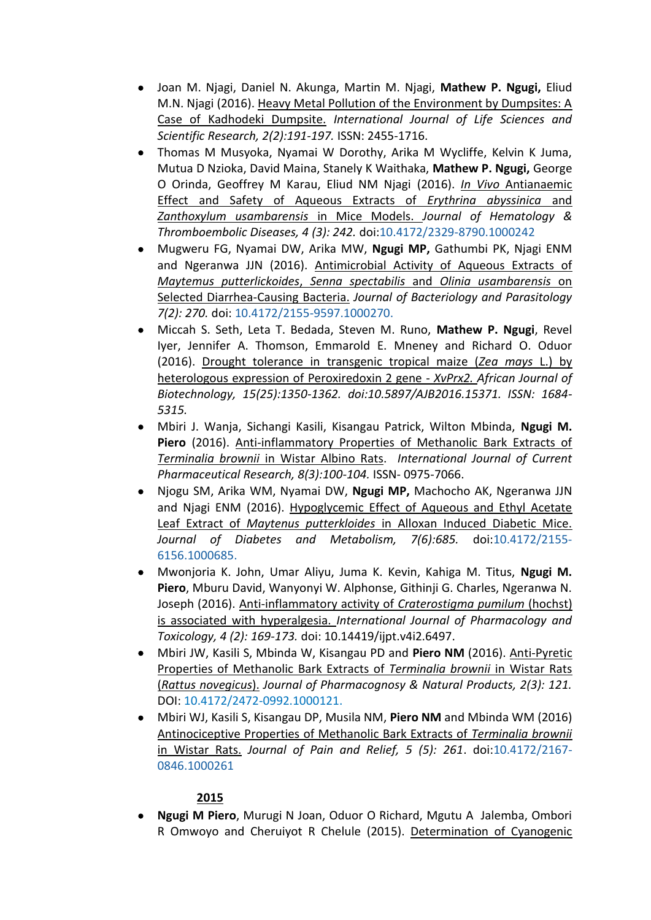- Joan M. Njagi, Daniel N. Akunga, Martin M. Njagi, **Mathew P. Ngugi,** Eliud M.N. Njagi (2016). Heavy Metal Pollution of the Environment by Dumpsites: A Case of Kadhodeki Dumpsite. *International Journal of Life Sciences and Scientific Research, 2(2):191-197.* ISSN: 2455-1716.
- Thomas M Musyoka, Nyamai W Dorothy, Arika M Wycliffe, Kelvin K Juma, Mutua D Nzioka, David Maina, Stanely K Waithaka, **Mathew P. Ngugi,** George O Orinda, Geoffrey M Karau, Eliud NM Njagi (2016). *In Vivo* Antianaemic Effect and Safety of Aqueous Extracts of *Erythrina abyssinica* and *Zanthoxylum usambarensis* in Mice Models. *Journal of Hematology & Thromboembolic Diseases, 4 (3): 242.* doi:10.4172/2329-8790.1000242
- Mugweru FG, Nyamai DW, Arika MW, **Ngugi MP,** Gathumbi PK, Njagi ENM and Ngeranwa JJN (2016). Antimicrobial Activity of Aqueous Extracts of *Maytemus putterlickoides*, *Senna spectabilis* and *Olinia usambarensis* on Selected Diarrhea-Causing Bacteria. *Journal of Bacteriology and Parasitology 7(2): 270.* doi: 10.4172/2155-9597.1000270.
- Miccah S. Seth, Leta T. Bedada, Steven M. Runo, **Mathew P. Ngugi**, Revel Iyer, Jennifer A. Thomson, Emmarold E. Mneney and Richard O. Oduor (2016). Drought tolerance in transgenic tropical maize (*Zea mays* L.) by heterologous expression of Peroxiredoxin 2 gene - *XvPrx2. African Journal of Biotechnology, 15(25):1350-1362. doi:10.5897/AJB2016.15371. ISSN: 1684- 5315.*
- Mbiri J. Wanja, Sichangi Kasili, Kisangau Patrick, Wilton Mbinda, **Ngugi M. Piero** (2016). Anti-inflammatory Properties of Methanolic Bark Extracts of *Terminalia brownii* in Wistar Albino Rats. *International Journal of Current Pharmaceutical Research, 8(3):100-104.* ISSN- 0975-7066.
- Njogu SM, Arika WM, Nyamai DW, **Ngugi MP,** Machocho AK, Ngeranwa JJN and Njagi ENM (2016). Hypoglycemic Effect of Aqueous and Ethyl Acetate Leaf Extract of *Maytenus putterkloides* in Alloxan Induced Diabetic Mice. *Journal of Diabetes and Metabolism, 7(6):685.* doi:10.4172/2155- 6156.1000685.
- Mwonjoria K. John, Umar Aliyu, Juma K. Kevin, Kahiga M. Titus, **Ngugi M. Piero**, Mburu David, Wanyonyi W. Alphonse, Githinji G. Charles, Ngeranwa N. Joseph (2016). Anti-inflammatory activity of *Craterostigma pumilum* (hochst) is associated with hyperalgesia. *International Journal of Pharmacology and Toxicology, 4 (2): 169-173.* doi: 10.14419/ijpt.v4i2.6497.
- Mbiri JW, Kasili S, Mbinda W, Kisangau PD and **Piero NM** (2016). Anti-Pyretic Properties of Methanolic Bark Extracts of *Terminalia brownii* in Wistar Rats (*Rattus novegicus*). *Journal of Pharmacognosy & Natural Products, 2(3): 121.*  DOI: 10.4172/2472-0992.1000121.
- Mbiri WJ, Kasili S, Kisangau DP, Musila NM, **Piero NM** and Mbinda WM (2016) Antinociceptive Properties of Methanolic Bark Extracts of *Terminalia brownii*  in Wistar Rats. *Journal of Pain and Relief, 5 (5): 261*. doi:10.4172/2167- 0846.1000261

# **2015**

• **Ngugi M Piero**, Murugi N Joan, Oduor O Richard, Mgutu A Jalemba, Ombori R Omwoyo and Cheruiyot R Chelule (2015). Determination of Cyanogenic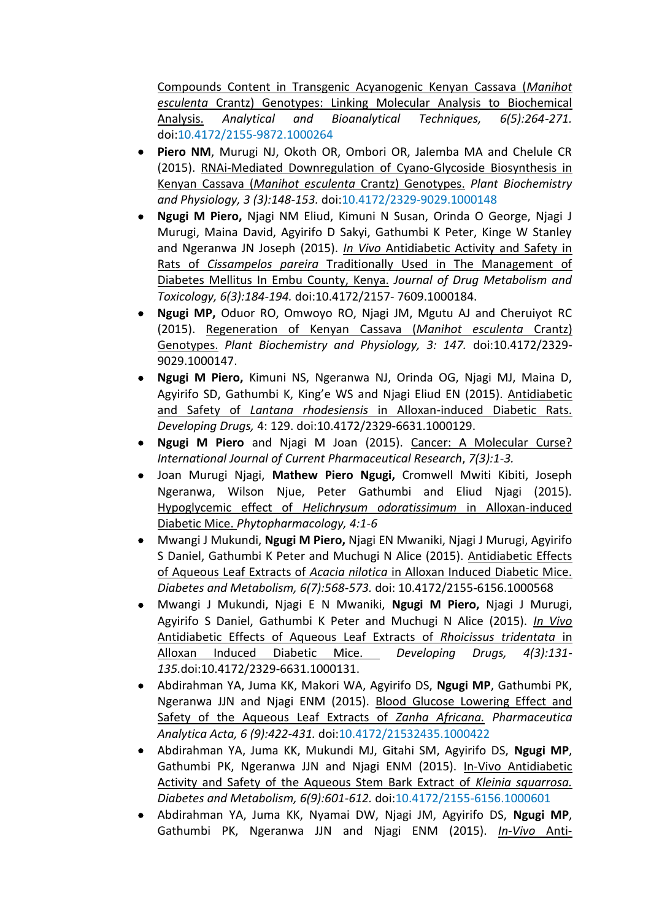Compounds Content in Transgenic Acyanogenic Kenyan Cassava (*Manihot esculenta* Crantz) Genotypes: Linking Molecular Analysis to Biochemical Analysis. *Analytical and Bioanalytical Techniques, 6(5):264-271.*  doi:10.4172/2155-9872.1000264

- **Piero NM**, Murugi NJ, Okoth OR, Ombori OR, Jalemba MA and Chelule CR (2015). RNAi-Mediated Downregulation of Cyano-Glycoside Biosynthesis in Kenyan Cassava (*Manihot esculenta* Crantz) Genotypes. *Plant Biochemistry and Physiology, 3 (3):148-153.* doi:10.4172/2329-9029.1000148
- **Ngugi M Piero,** Njagi NM Eliud, Kimuni N Susan, Orinda O George, Njagi J Murugi, Maina David, Agyirifo D Sakyi, Gathumbi K Peter, Kinge W Stanley and Ngeranwa JN Joseph (2015). *In Vivo* Antidiabetic Activity and Safety in Rats of *Cissampelos pareira* Traditionally Used in The Management of Diabetes Mellitus In Embu County, Kenya. *Journal of Drug Metabolism and Toxicology, 6(3):184-194.* doi:10.4172/2157- 7609.1000184.
- **Ngugi MP,** Oduor RO, Omwoyo RO, Njagi JM, Mgutu AJ and Cheruiyot RC (2015). Regeneration of Kenyan Cassava (*Manihot esculenta* Crantz) Genotypes. *Plant Biochemistry and Physiology, 3: 147.* doi:10.4172/2329- 9029.1000147.
- **Ngugi M Piero,** Kimuni NS, Ngeranwa NJ, Orinda OG, Njagi MJ, Maina D, Agyirifo SD, Gathumbi K, King'e WS and Njagi Eliud EN (2015). Antidiabetic and Safety of *Lantana rhodesiensis* in Alloxan-induced Diabetic Rats. *Developing Drugs,* 4: 129. doi:10.4172/2329-6631.1000129.
- **Ngugi M Piero** and Njagi M Joan (2015). Cancer: A Molecular Curse? *International Journal of Current Pharmaceutical Research*, *7(3):1-3.*
- Joan Murugi Njagi, **Mathew Piero Ngugi,** Cromwell Mwiti Kibiti, Joseph Ngeranwa, Wilson Njue, Peter Gathumbi and Eliud Njagi (2015). Hypoglycemic effect of *Helichrysum odoratissimum* in Alloxan-induced Diabetic Mice. *Phytopharmacology, 4:1-6*
- Mwangi J Mukundi, **Ngugi M Piero,** Njagi EN Mwaniki, Njagi J Murugi, Agyirifo S Daniel, Gathumbi K Peter and Muchugi N Alice (2015). Antidiabetic Effects of Aqueous Leaf Extracts of *Acacia nilotica* in Alloxan Induced Diabetic Mice. *Diabetes and Metabolism, 6(7):568-573.* doi: 10.4172/2155-6156.1000568
- Mwangi J Mukundi, Njagi E N Mwaniki, **Ngugi M Piero,** Njagi J Murugi, Agyirifo S Daniel, Gathumbi K Peter and Muchugi N Alice (2015). *In Vivo* Antidiabetic Effects of Aqueous Leaf Extracts of *Rhoicissus tridentata* in Alloxan Induced Diabetic Mice. *Developing Drugs, 4(3):131- 135.*doi:10.4172/2329-6631.1000131.
- Abdirahman YA, Juma KK, Makori WA, Agyirifo DS, **Ngugi MP**, Gathumbi PK, Ngeranwa JJN and Njagi ENM (2015). Blood Glucose Lowering Effect and Safety of the Aqueous Leaf Extracts of *Zanha Africana. Pharmaceutica Analytica Acta, 6 (9):422-431.* doi:10.4172/21532435.1000422
- Abdirahman YA, Juma KK, Mukundi MJ, Gitahi SM, Agyirifo DS, **Ngugi MP**, Gathumbi PK, Ngeranwa JJN and Njagi ENM (2015). In-Vivo Antidiabetic Activity and Safety of the Aqueous Stem Bark Extract of *Kleinia squarrosa. Diabetes and Metabolism, 6(9):601-612.* doi:10.4172/2155-6156.1000601
- Abdirahman YA, Juma KK, Nyamai DW, Njagi JM, Agyirifo DS, **Ngugi MP**, Gathumbi PK, Ngeranwa JJN and Njagi ENM (2015). *In-Vivo* Anti-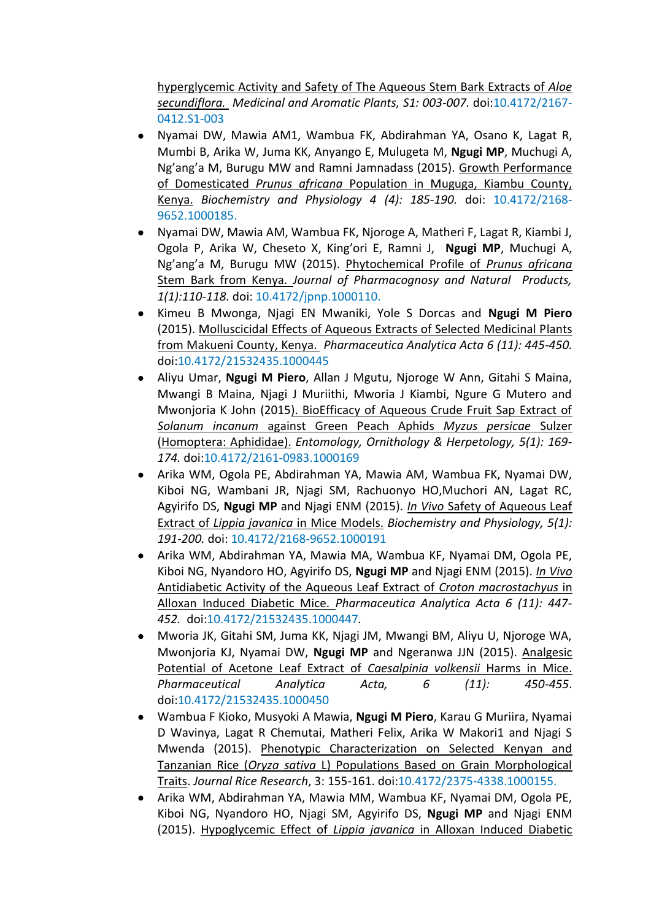hyperglycemic Activity and Safety of The Aqueous Stem Bark Extracts of *Aloe secundiflora. Medicinal and Aromatic Plants, S1: 003-007.* doi:10.4172/2167- 0412.S1-003

- Nyamai DW, Mawia AM1, Wambua FK, Abdirahman YA, Osano K, Lagat R, Mumbi B, Arika W, Juma KK, Anyango E, Mulugeta M, **Ngugi MP**, Muchugi A, Ng'ang'a M, Burugu MW and Ramni Jamnadass (2015). Growth Performance of Domesticated *Prunus africana* Population in Muguga, Kiambu County, Kenya. *Biochemistry and Physiology 4 (4): 185-190.* doi: 10.4172/2168- 9652.1000185.
- Nyamai DW, Mawia AM, Wambua FK, Njoroge A, Matheri F, Lagat R, Kiambi J, Ogola P, Arika W, Cheseto X, King'ori E, Ramni J, **Ngugi MP**, Muchugi A, Ng'ang'a M, Burugu MW (2015). Phytochemical Profile of *Prunus africana* Stem Bark from Kenya. *Journal of Pharmacognosy and Natural Products, 1(1):110-118.* doi: 10.4172/jpnp.1000110.
- Kimeu B Mwonga, Njagi EN Mwaniki, Yole S Dorcas and **Ngugi M Piero**  (2015). Molluscicidal Effects of Aqueous Extracts of Selected Medicinal Plants from Makueni County, Kenya. *Pharmaceutica Analytica Acta 6 (11): 445-450.* doi:10.4172/21532435.1000445
- Aliyu Umar, **Ngugi M Piero**, Allan J Mgutu, Njoroge W Ann, Gitahi S Maina, Mwangi B Maina, Njagi J Muriithi, Mworia J Kiambi, Ngure G Mutero and Mwonjoria K John (2015). BioEfficacy of Aqueous Crude Fruit Sap Extract of *Solanum incanum* against Green Peach Aphids *Myzus persicae* Sulzer (Homoptera: Aphididae). *Entomology, Ornithology & Herpetology, 5(1): 169- 174.* doi:10.4172/2161-0983.1000169
- Arika WM, Ogola PE, Abdirahman YA, Mawia AM, Wambua FK, Nyamai DW, Kiboi NG, Wambani JR, Njagi SM, Rachuonyo HO,Muchori AN, Lagat RC, Agyirifo DS, **Ngugi MP** and Njagi ENM (2015). *In Vivo* Safety of Aqueous Leaf Extract of *Lippia javanica* in Mice Models. *Biochemistry and Physiology, 5(1): 191-200.* doi: 10.4172/2168-9652.1000191
- Arika WM, Abdirahman YA, Mawia MA, Wambua KF, Nyamai DM, Ogola PE, Kiboi NG, Nyandoro HO, Agyirifo DS, **Ngugi MP** and Njagi ENM (2015). *In Vivo* Antidiabetic Activity of the Aqueous Leaf Extract of *Croton macrostachyus* in Alloxan Induced Diabetic Mice. *Pharmaceutica Analytica Acta 6 (11): 447- 452.* doi:10.4172/21532435.1000447*.*
- Mworia JK, Gitahi SM, Juma KK, Njagi JM, Mwangi BM, Aliyu U, Njoroge WA, Mwonjoria KJ, Nyamai DW, **Ngugi MP** and Ngeranwa JJN (2015). Analgesic Potential of Acetone Leaf Extract of *Caesalpinia volkensii* Harms in Mice. *Pharmaceutical Analytica Acta, 6 (11): 450-455*. doi:10.4172/21532435.1000450
- Wambua F Kioko, Musyoki A Mawia, **Ngugi M Piero**, Karau G Muriira, Nyamai D Wavinya, Lagat R Chemutai, Matheri Felix, Arika W Makori1 and Njagi S Mwenda (2015). Phenotypic Characterization on Selected Kenyan and Tanzanian Rice (*Oryza sativa* L) Populations Based on Grain Morphological Traits. *Journal Rice Research*, 3: 155-161. doi:10.4172/2375-4338.1000155.
- Arika WM, Abdirahman YA, Mawia MM, Wambua KF, Nyamai DM, Ogola PE, Kiboi NG, Nyandoro HO, Njagi SM, Agyirifo DS, **Ngugi MP** and Njagi ENM (2015). Hypoglycemic Effect of *Lippia javanica* in Alloxan Induced Diabetic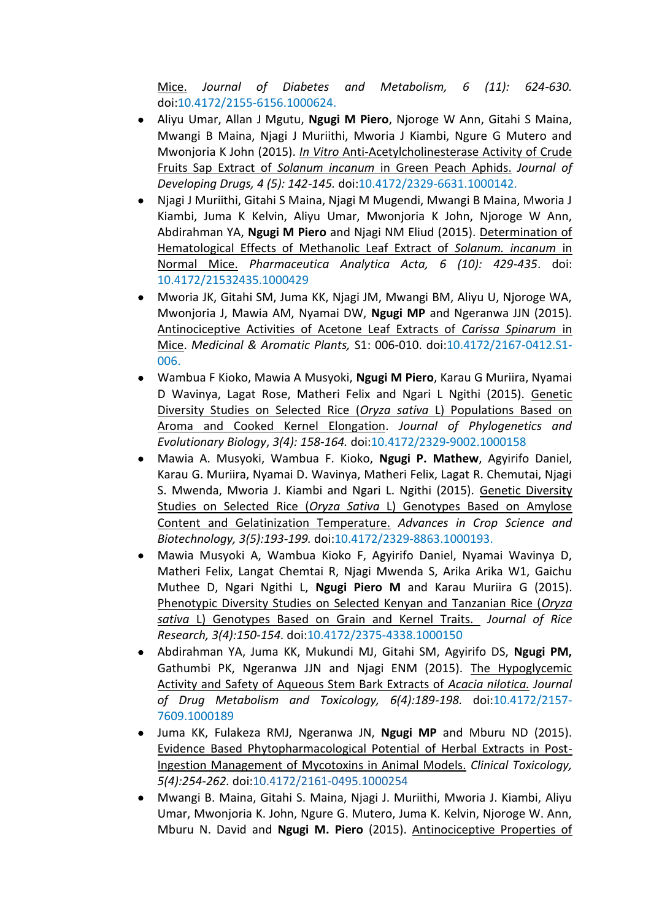Mice. *Journal of Diabetes and Metabolism, 6 (11): 624-630.* doi:10.4172/2155-6156.1000624.

- Aliyu Umar, Allan J Mgutu, **Ngugi M Piero**, Njoroge W Ann, Gitahi S Maina, Mwangi B Maina, Njagi J Muriithi, Mworia J Kiambi, Ngure G Mutero and Mwonjoria K John (2015). *In Vitro* Anti-Acetylcholinesterase Activity of Crude Fruits Sap Extract of *Solanum incanum* in Green Peach Aphids. *Journal of Developing Drugs, 4 (5): 142-145.* doi:10.4172/2329-6631.1000142.
- Njagi J Muriithi, Gitahi S Maina, Njagi M Mugendi, Mwangi B Maina, Mworia J Kiambi, Juma K Kelvin, Aliyu Umar, Mwonjoria K John, Njoroge W Ann, Abdirahman YA, **Ngugi M Piero** and Njagi NM Eliud (2015). Determination of Hematological Effects of Methanolic Leaf Extract of *Solanum. incanum* in Normal Mice. *Pharmaceutica Analytica Acta, 6 (10): 429-435*. doi: 10.4172/21532435.1000429
- Mworia JK, Gitahi SM, Juma KK, Njagi JM, Mwangi BM, Aliyu U, Njoroge WA, Mwonjoria J, Mawia AM, Nyamai DW, **Ngugi MP** and Ngeranwa JJN (2015). Antinociceptive Activities of Acetone Leaf Extracts of *Carissa Spinarum* in Mice. *Medicinal & Aromatic Plants,* S1: 006-010. doi:10.4172/2167-0412.S1- 006.
- Wambua F Kioko, Mawia A Musyoki, **Ngugi M Piero**, Karau G Muriira, Nyamai D Wavinya, Lagat Rose, Matheri Felix and Ngari L Ngithi (2015). Genetic Diversity Studies on Selected Rice (*Oryza sativa* L) Populations Based on Aroma and Cooked Kernel Elongation. *Journal of Phylogenetics and Evolutionary Biology*, *3(4): 158-164.* doi:10.4172/2329-9002.1000158
- Mawia A. Musyoki, Wambua F. Kioko, **Ngugi P. Mathew**, Agyirifo Daniel, Karau G. Muriira, Nyamai D. Wavinya, Matheri Felix, Lagat R. Chemutai, Njagi S. Mwenda, Mworia J. Kiambi and Ngari L. Ngithi (2015). Genetic Diversity Studies on Selected Rice (*Oryza Sativa* L) Genotypes Based on Amylose Content and Gelatinization Temperature. *Advances in Crop Science and Biotechnology, 3(5):193-199.* doi:10.4172/2329-8863.1000193.
- Mawia Musyoki A, Wambua Kioko F, Agyirifo Daniel, Nyamai Wavinya D, Matheri Felix, Langat Chemtai R, Njagi Mwenda S, Arika Arika W1, Gaichu Muthee D, Ngari Ngithi L, **Ngugi Piero M** and Karau Muriira G (2015). Phenotypic Diversity Studies on Selected Kenyan and Tanzanian Rice (*Oryza sativa* L) Genotypes Based on Grain and Kernel Traits. *Journal of Rice Research, 3(4):150-154.* doi:10.4172/2375-4338.1000150
- Abdirahman YA, Juma KK, Mukundi MJ, Gitahi SM, Agyirifo DS, **Ngugi PM,** Gathumbi PK, Ngeranwa JJN and Njagi ENM (2015). The Hypoglycemic Activity and Safety of Aqueous Stem Bark Extracts of *Acacia nilotica. Journal of Drug Metabolism and Toxicology, 6(4):189-198.* doi:10.4172/2157- 7609.1000189
- Juma KK, Fulakeza RMJ, Ngeranwa JN, **Ngugi MP** and Mburu ND (2015). Evidence Based Phytopharmacological Potential of Herbal Extracts in Post-Ingestion Management of Mycotoxins in Animal Models. *Clinical Toxicology, 5(4):254-262.* doi:10.4172/2161-0495.1000254
- Mwangi B. Maina, Gitahi S. Maina, Njagi J. Muriithi, Mworia J. Kiambi, Aliyu Umar, Mwonjoria K. John, Ngure G. Mutero, Juma K. Kelvin, Njoroge W. Ann, Mburu N. David and **Ngugi M. Piero** (2015). Antinociceptive Properties of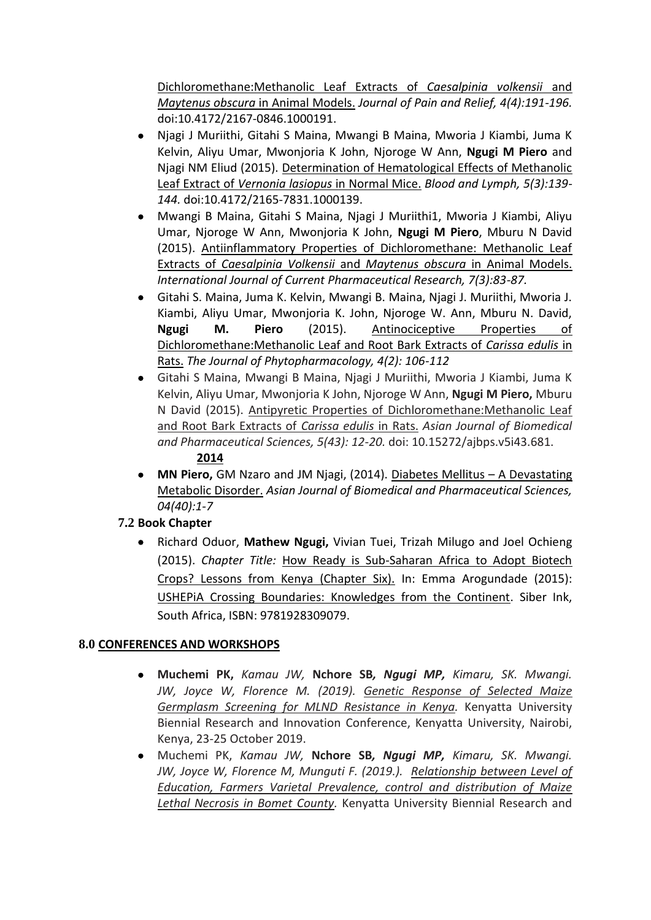Dichloromethane:Methanolic Leaf Extracts of *Caesalpinia volkensii* and *Maytenus obscura* in Animal Models. *Journal of Pain and Relief, 4(4):191-196.*  doi:10.4172/2167-0846.1000191.

- Njagi J Muriithi, Gitahi S Maina, Mwangi B Maina, Mworia J Kiambi, Juma K Kelvin, Aliyu Umar, Mwonjoria K John, Njoroge W Ann, **Ngugi M Piero** and Njagi NM Eliud (2015). Determination of Hematological Effects of Methanolic Leaf Extract of *Vernonia lasiopus* in Normal Mice. *Blood and Lymph, 5(3):139- 144.* doi:10.4172/2165-7831.1000139.
- Mwangi B Maina, Gitahi S Maina, Njagi J Muriithi1, Mworia J Kiambi, Aliyu Umar, Njoroge W Ann, Mwonjoria K John, **Ngugi M Piero**, Mburu N David (2015). Antiinflammatory Properties of Dichloromethane: Methanolic Leaf Extracts of *Caesalpinia Volkensii* and *Maytenus obscura* in Animal Models. *International Journal of Current Pharmaceutical Research, 7(3):83-87.*
- Gitahi S. Maina, Juma K. Kelvin, Mwangi B. Maina, Njagi J. Muriithi, Mworia J. Kiambi, Aliyu Umar, Mwonjoria K. John, Njoroge W. Ann, Mburu N. David, **Ngugi M. Piero** (2015). Antinociceptive Properties of Dichloromethane:Methanolic Leaf and Root Bark Extracts of *Carissa edulis* in Rats. *The Journal of Phytopharmacology, 4(2): 106-112*
- Gitahi S Maina, Mwangi B Maina, Njagi J Muriithi, Mworia J Kiambi, Juma K Kelvin, Aliyu Umar, Mwonjoria K John, Njoroge W Ann, **Ngugi M Piero,** Mburu N David (2015). Antipyretic Properties of Dichloromethane:Methanolic Leaf and Root Bark Extracts of *Carissa edulis* in Rats. *Asian Journal of Biomedical and Pharmaceutical Sciences, 5(43): 12-20.* doi: 10.15272/ajbps.v5i43.681. **2014**
- **MN Piero,** GM Nzaro and JM Njagi, (2014). Diabetes Mellitus A Devastating Metabolic Disorder. *Asian Journal of Biomedical and Pharmaceutical Sciences, 04(40):1-7*

# **7.2 Book Chapter**

• Richard Oduor, **Mathew Ngugi,** Vivian Tuei, Trizah Milugo and Joel Ochieng (2015). *Chapter Title:* How Ready is Sub-Saharan Africa to Adopt Biotech Crops? Lessons from Kenya (Chapter Six). In: Emma Arogundade (2015): USHEPiA Crossing Boundaries: Knowledges from the Continent. Siber Ink, South Africa, ISBN: 9781928309079.

# **8.0 CONFERENCES AND WORKSHOPS**

- **Muchemi PK,** *Kamau JW,* **Nchore SB***, Ngugi MP, Kimaru, SK. Mwangi. JW, Joyce W, Florence M. (2019). Genetic Response of Selected Maize Germplasm Screening for MLND Resistance in Kenya.* Kenyatta University Biennial Research and Innovation Conference, Kenyatta University, Nairobi, Kenya, 23-25 October 2019.
- Muchemi PK, *Kamau JW,* **Nchore SB***, Ngugi MP, Kimaru, SK. Mwangi. JW, Joyce W, Florence M, Munguti F. (2019.). Relationship between Level of Education, Farmers Varietal Prevalence, control and distribution of Maize Lethal Necrosis in Bomet County.* Kenyatta University Biennial Research and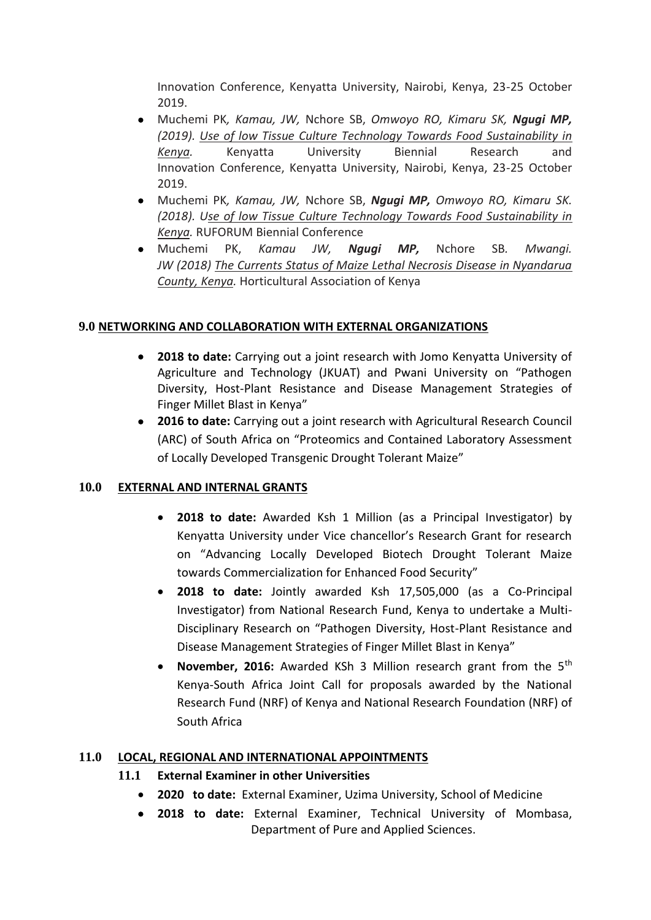Innovation Conference, Kenyatta University, Nairobi, Kenya, 23-25 October 2019.

- Muchemi PK*, Kamau, JW,* Nchore SB, *Omwoyo RO, Kimaru SK, Ngugi MP, (2019). Use of low Tissue Culture Technology Towards Food Sustainability in Kenya.* Kenyatta University Biennial Research and Innovation Conference, Kenyatta University, Nairobi, Kenya, 23-25 October 2019.
- Muchemi PK*, Kamau, JW,* Nchore SB, *Ngugi MP, Omwoyo RO, Kimaru SK. (2018). Use of low Tissue Culture Technology Towards Food Sustainability in Kenya.* RUFORUM Biennial Conference
- Muchemi PK, *Kamau JW, Ngugi MP,* Nchore SB*. Mwangi. JW (2018) The Currents Status of Maize Lethal Necrosis Disease in Nyandarua County, Kenya.* Horticultural Association of Kenya

### **9.0 NETWORKING AND COLLABORATION WITH EXTERNAL ORGANIZATIONS**

- **2018 to date:** Carrying out a joint research with Jomo Kenyatta University of Agriculture and Technology (JKUAT) and Pwani University on "Pathogen Diversity, Host-Plant Resistance and Disease Management Strategies of Finger Millet Blast in Kenya"
- **2016 to date:** Carrying out a joint research with Agricultural Research Council (ARC) of South Africa on "Proteomics and Contained Laboratory Assessment of Locally Developed Transgenic Drought Tolerant Maize"

#### **10.0 EXTERNAL AND INTERNAL GRANTS**

- **2018 to date:** Awarded Ksh 1 Million (as a Principal Investigator) by Kenyatta University under Vice chancellor's Research Grant for research on "Advancing Locally Developed Biotech Drought Tolerant Maize towards Commercialization for Enhanced Food Security"
- **2018 to date:** Jointly awarded Ksh 17,505,000 (as a Co-Principal Investigator) from National Research Fund, Kenya to undertake a Multi-Disciplinary Research on "Pathogen Diversity, Host-Plant Resistance and Disease Management Strategies of Finger Millet Blast in Kenya"
- **November, 2016:** Awarded KSh 3 Million research grant from the 5<sup>th</sup> Kenya-South Africa Joint Call for proposals awarded by the National Research Fund (NRF) of Kenya and National Research Foundation (NRF) of South Africa

### **11.0 LOCAL, REGIONAL AND INTERNATIONAL APPOINTMENTS**

### **11.1 External Examiner in other Universities**

- **2020 to date:** External Examiner, Uzima University, School of Medicine
- **2018 to date:** External Examiner, Technical University of Mombasa, Department of Pure and Applied Sciences.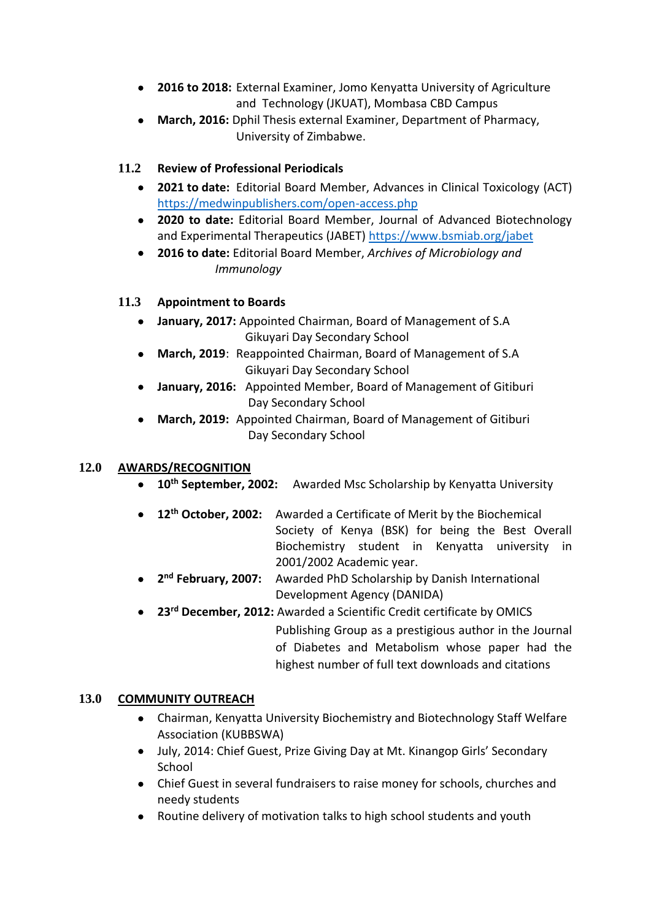- **2016 to 2018:** External Examiner, Jomo Kenyatta University of Agriculture and Technology (JKUAT), Mombasa CBD Campus
- **March, 2016:** Dphil Thesis external Examiner, Department of Pharmacy, University of Zimbabwe.

# **11.2 Review of Professional Periodicals**

- **2021 to date:** Editorial Board Member, Advances in Clinical Toxicology (ACT) <https://medwinpublishers.com/open-access.php>
- **2020 to date:** Editorial Board Member, Journal of Advanced Biotechnology and Experimental Therapeutics (JABET)<https://www.bsmiab.org/jabet>
- **2016 to date:** Editorial Board Member, *Archives of Microbiology and Immunology*

# **11.3 Appointment to Boards**

- **January, 2017:** Appointed Chairman, Board of Management of S.A Gikuyari Day Secondary School
- **March, 2019**: Reappointed Chairman, Board of Management of S.A Gikuyari Day Secondary School
- **January, 2016:** Appointed Member, Board of Management of Gitiburi Day Secondary School
- **March, 2019:** Appointed Chairman, Board of Management of Gitiburi Day Secondary School

# **12.0 AWARDS/RECOGNITION**

- **10th September, 2002:** Awarded Msc Scholarship by Kenyatta University
- **12th October, 2002:** Awarded a Certificate of Merit by the Biochemical Society of Kenya (BSK) for being the Best Overall Biochemistry student in Kenyatta university in 2001/2002 Academic year.
- <sup>2nd</sup> February, 2007: Awarded PhD Scholarship by Danish International Development Agency (DANIDA)
- **23rd December, 2012:** Awarded a Scientific Credit certificate by OMICS Publishing Group as a prestigious author in the Journal of Diabetes and Metabolism whose paper had the highest number of full text downloads and citations

# **13.0 COMMUNITY OUTREACH**

- Chairman, Kenyatta University Biochemistry and Biotechnology Staff Welfare Association (KUBBSWA)
- July, 2014: Chief Guest, Prize Giving Day at Mt. Kinangop Girls' Secondary School
- Chief Guest in several fundraisers to raise money for schools, churches and needy students
- Routine delivery of motivation talks to high school students and youth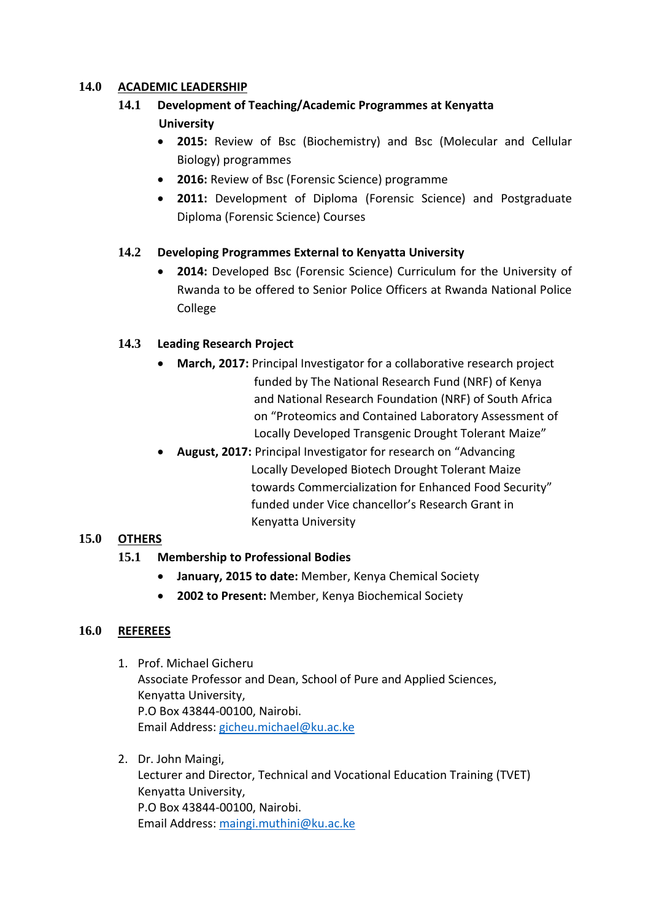### **14.0 ACADEMIC LEADERSHIP**

# **14.1 Development of Teaching/Academic Programmes at Kenyatta University**

- **2015:** Review of Bsc (Biochemistry) and Bsc (Molecular and Cellular Biology) programmes
- **2016:** Review of Bsc (Forensic Science) programme
- **2011:** Development of Diploma (Forensic Science) and Postgraduate Diploma (Forensic Science) Courses

### **14.2 Developing Programmes External to Kenyatta University**

• **2014:** Developed Bsc (Forensic Science) Curriculum for the University of Rwanda to be offered to Senior Police Officers at Rwanda National Police College

# **14.3 Leading Research Project**

- **March, 2017:** Principal Investigator for a collaborative research project funded by The National Research Fund (NRF) of Kenya and National Research Foundation (NRF) of South Africa on "Proteomics and Contained Laboratory Assessment of Locally Developed Transgenic Drought Tolerant Maize"
- **August, 2017:** Principal Investigator for research on "Advancing Locally Developed Biotech Drought Tolerant Maize towards Commercialization for Enhanced Food Security" funded under Vice chancellor's Research Grant in Kenyatta University

### **15.0 OTHERS**

### **15.1 Membership to Professional Bodies**

- **January, 2015 to date:** Member, Kenya Chemical Society
- **2002 to Present:** Member, Kenya Biochemical Society

### **16.0 REFEREES**

- 1. Prof. Michael Gicheru Associate Professor and Dean, School of Pure and Applied Sciences, Kenyatta University, P.O Box 43844-00100, Nairobi. Email Address: [gicheu.michael@ku.ac.ke](mailto:gicheu.michael@ku.ac.ke)
- 2. Dr. John Maingi, Lecturer and Director, Technical and Vocational Education Training (TVET) Kenyatta University, P.O Box 43844-00100, Nairobi. Email Address: [maingi.muthini@ku.ac.ke](mailto:maingi.muthini@ku.ac.ke)